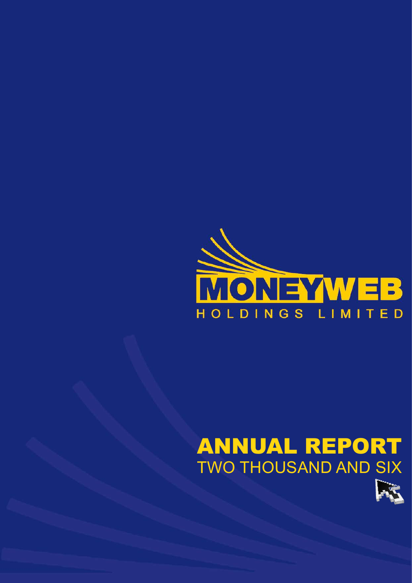

## ANNUAL REPORT TWO THOUSAND AND SIX

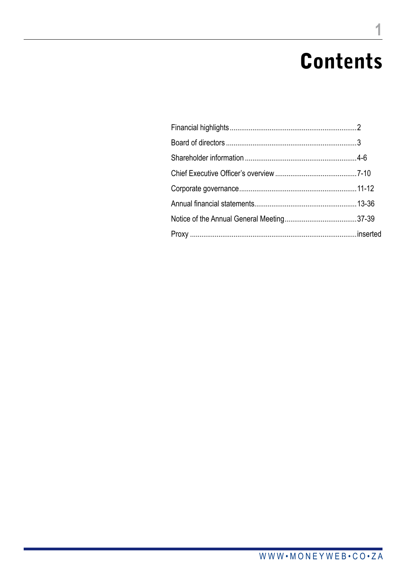## **Contents**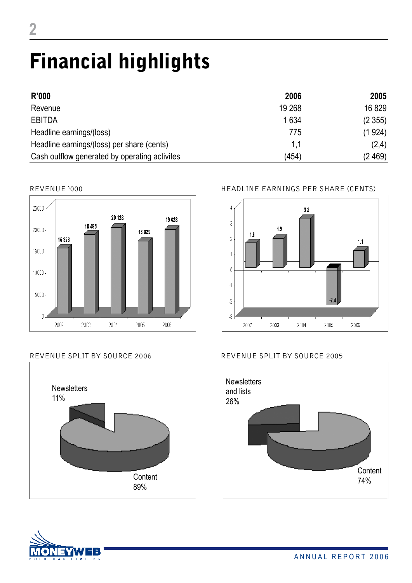# Financial highlights

| <b>R'000</b>                                  | 2006   | 2005   |
|-----------------------------------------------|--------|--------|
| Revenue                                       | 19 268 | 16829  |
| <b>EBITDA</b>                                 | 1634   | (2355) |
| Headline earnings/(loss)                      | 775    | (1924) |
| Headline earnings/(loss) per share (cents)    | 1.1    | (2,4)  |
| Cash outflow generated by operating activites | (454)  | (2469) |



### REVENUE SPLIT BY SOURCE 2006 REVENUE SPLIT BY SOURCE 2005





### REVENUE '000 HEADLINE EARNINGS PER SHARE (CENTS)



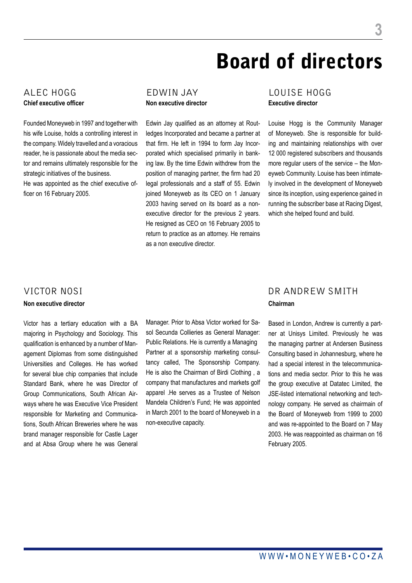## Board of directors

## **Chief executive officer**

Founded Moneyweb in 1997 and together with his wife Louise, holds a controlling interest in the company. Widely travelled and a voracious reader, he is passionate about the media sector and remains ultimately responsible for the strategic initiatives of the business.

He was appointed as the chief executive officer on 16 February 2005.

## **Non executive director**

Edwin Jay qualified as an attorney at Routledges Incorporated and became a partner at that firm. He left in 1994 to form Jay Incorporated which specialised primarily in banking law. By the time Edwin withdrew from the position of managing partner, the firm had 20 legal professionals and a staff of 55. Edwin joined Moneyweb as its CEO on 1 January 2003 having served on its board as a nonexecutive director for the previous 2 years. He resigned as CEO on 16 February 2005 to return to practice as an attorney. He remains as a non executive director.

### ALEC HOGG EDWIN JAY LOUISE HOGG **Executive director**

Louise Hogg is the Community Manager of Moneyweb. She is responsible for building and maintaining relationships with over 12 000 registered subscribers and thousands more regular users of the service – the Moneyweb Community. Louise has been intimately involved in the development of Moneyweb since its inception, using experience gained in running the subscriber base at Racing Digest, which she helped found and build.

#### **Non executive director**

Victor has a tertiary education with a BA majoring in Psychology and Sociology. This qualification is enhanced by a number of Management Diplomas from some distinguished Universities and Colleges. He has worked for several blue chip companies that include Standard Bank, where he was Director of Group Communications, South African Airways where he was Executive Vice President responsible for Marketing and Communications, South African Breweries where he was brand manager responsible for Castle Lager and at Absa Group where he was General Manager. Prior to Absa Victor worked for Sasol Secunda Collieries as General Manager: Public Relations. He is currently a Managing Partner at a sponsorship marketing consultancy called, The Sponsorship Company. He is also the Chairman of Birdi Clothing , a company that manufactures and markets golf apparel .He serves as a Trustee of Nelson Mandela Children's Fund; He was appointed in March 2001 to the board of Moneyweb in a non-executive capacity.

### VICTOR NOSI DR ANDREW SMITH **Chairman**

Based in London, Andrew is currently a partner at Unisys Limited. Previously he was the managing partner at Andersen Business Consulting based in Johannesburg, where he had a special interest in the telecommunications and media sector. Prior to this he was the group executive at Datatec Limited, the JSE-listed international networking and technology company. He served as chairmain of the Board of Moneyweb from 1999 to 2000 and was re-appointed to the Board on 7 May 2003. He was reappointed as chairman on 16 February 2005.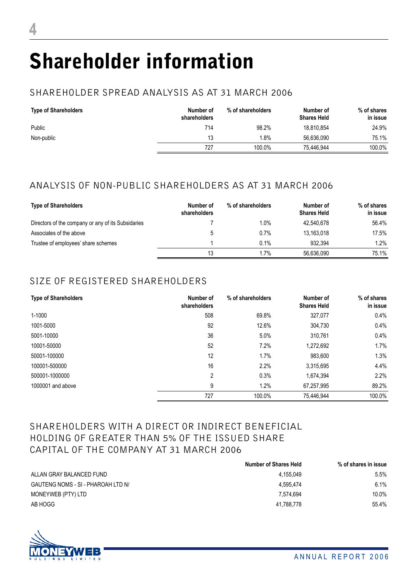# Shareholder information

## SHAREHOLDER SPREAD ANALYSIS AS AT 31 MARCH 2006

| <b>Type of Shareholders</b> | Number of<br>shareholders | % of shareholders | Number of<br><b>Shares Held</b> | % of shares<br>in issue |
|-----------------------------|---------------------------|-------------------|---------------------------------|-------------------------|
| Public                      | 714                       | 98.2%             | 18,810,854                      | 24.9%                   |
| Non-public                  | 13                        | $.8\%$            | 56,636,090                      | 75.1%                   |
|                             | 727                       | 100.0%            | 75.446.944                      | 100.0%                  |

## ANALYSIS OF NON-PUBLIC SHAREHOLDERS AS AT 31 MARCH 2006

| <b>Type of Shareholders</b>                        | Number of<br>shareholders | % of shareholders | Number of<br><b>Shares Held</b> | % of shares<br>in issue |
|----------------------------------------------------|---------------------------|-------------------|---------------------------------|-------------------------|
| Directors of the company or any of its Subsidaries |                           | 1.0%              | 42.540.678                      | 56.4%                   |
| Associates of the above                            |                           | $0.7\%$           | 13,163,018                      | 17.5%                   |
| Trustee of employees' share schemes                |                           | 0.1%              | 932.394                         | $1.2\%$                 |
|                                                    | 13                        | 1.7%              | 56.636.090                      | 75.1%                   |

## SIZE OF REGISTERED SHAREHOLDERS

| <b>Type of Shareholders</b> | Number of<br>shareholders | % of shareholders | Number of<br><b>Shares Held</b> | % of shares<br>in issue |
|-----------------------------|---------------------------|-------------------|---------------------------------|-------------------------|
| 1-1000                      | 508                       | 69.8%             | 327,077                         | 0.4%                    |
| 1001-5000                   | 92                        | 12.6%             | 304,730                         | 0.4%                    |
| 5001-10000                  | 36                        | 5.0%              | 310,761                         | 0.4%                    |
| 10001-50000                 | 52                        | 7.2%              | 1,272,692                       | 1.7%                    |
| 50001-100000                | 12                        | 1.7%              | 983,600                         | 1.3%                    |
| 100001-500000               | 16                        | 2.2%              | 3,315,695                       | 4.4%                    |
| 500001-1000000              | 2                         | 0.3%              | 1,674,394                       | 2.2%                    |
| 1000001 and above           | 9                         | 1.2%              | 67,257,995                      | 89.2%                   |
|                             | 727                       | 100.0%            | 75.446.944                      | 100.0%                  |

## SHAREHOLDERS WITH A DIRECT OR INDIRECT BENEFICIAL HOLDING OF GREATER THAN 5% OF THE ISSUED SHARE CAPITAL OF THE COMPANY AT 31 MARCH 2006

|                                    | <b>Number of Shares Held</b> | % of shares in issue |
|------------------------------------|------------------------------|----------------------|
| ALLAN GRAY BALANCED FUND           | 4.155.049                    | 5.5%                 |
| GAUTENG NOMS - SI - PHAROAH LTD N/ | 4.595.474                    | 6.1%                 |
| MONEYWEB (PTY) LTD                 | 7.574.694                    | 10.0%                |
| AB HOGG                            | 41,788,778                   | 55.4%                |

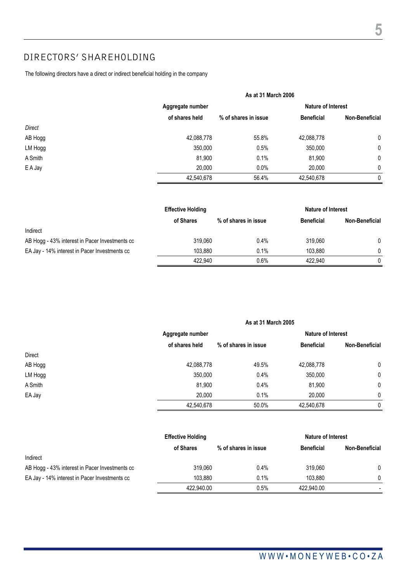## DIRECTORS' SHAREHOLDING

The following directors have a direct or indirect beneficial holding in the company

|         |                  | As at 31 March 2006  |                   |                           |
|---------|------------------|----------------------|-------------------|---------------------------|
|         | Aggregate number |                      |                   | <b>Nature of Interest</b> |
|         | of shares held   | % of shares in issue | <b>Beneficial</b> | Non-Beneficial            |
| Direct  |                  |                      |                   |                           |
| AB Hogg | 42,088,778       | 55.8%                | 42,088,778        | 0                         |
| LM Hogg | 350,000          | 0.5%                 | 350,000           | 0                         |
| A Smith | 81,900           | 0.1%                 | 81,900            | 0                         |
| E A Jay | 20,000           | 0.0%                 | 20,000            | 0                         |
|         | 42,540,678       | 56.4%                | 42,540,678        | 0                         |

|                                                | <b>Effective Holding</b> |                      | <b>Nature of Interest</b> |                |
|------------------------------------------------|--------------------------|----------------------|---------------------------|----------------|
|                                                | of Shares                | % of shares in issue | <b>Beneficial</b>         | Non-Beneficial |
| Indirect                                       |                          |                      |                           |                |
| AB Hogg - 43% interest in Pacer Investments cc | 319.060                  | 0.4%                 | 319.060                   | $\mathbf{0}$   |
| EA Jay - 14% interest in Pacer Investments cc  | 103.880                  | 0.1%                 | 103.880                   | 0              |
|                                                | 422.940                  | 0.6%                 | 422.940                   | $\mathbf{0}$   |

|         |                  | As at 31 March 2005  |                           |                |
|---------|------------------|----------------------|---------------------------|----------------|
|         | Aggregate number |                      | <b>Nature of Interest</b> |                |
|         | of shares held   | % of shares in issue | <b>Beneficial</b>         | Non-Beneficial |
| Direct  |                  |                      |                           |                |
| AB Hogg | 42,088,778       | 49.5%                | 42,088,778                | 0              |
| LM Hogg | 350,000          | 0.4%                 | 350,000                   | 0              |
| A Smith | 81,900           | 0.4%                 | 81,900                    | 0              |
| EA Jay  | 20,000           | 0.1%                 | 20,000                    | 0              |
|         | 42,540,678       | 50.0%                | 42,540,678                | 0              |

|                                                | <b>Effective Holding</b> |                      | <b>Nature of Interest</b> |                |
|------------------------------------------------|--------------------------|----------------------|---------------------------|----------------|
|                                                | of Shares                | % of shares in issue | <b>Beneficial</b>         | Non-Beneficial |
| Indirect                                       |                          |                      |                           |                |
| AB Hogg - 43% interest in Pacer Investments cc | 319.060                  | $0.4\%$              | 319.060                   | $\mathbf{0}$   |
| EA Jay - 14% interest in Pacer Investments cc  | 103.880                  | 0.1%                 | 103.880                   | $\Omega$       |
|                                                | 422.940.00               | $0.5\%$              | 422,940.00                |                |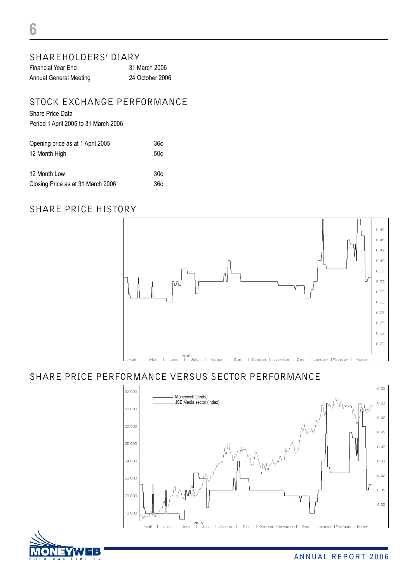### SHAREHOLDERS' DIARY

| Financial Year End            | 31 March 2006   |
|-------------------------------|-----------------|
| <b>Annual General Meeting</b> | 24 October 2006 |

### STOCK EXCHANGE PERFORMANCE

Share Price Data Period 1 April 2005 to 31 March 2006

| Opening price as at 1 April 2005  | 36c |
|-----------------------------------|-----|
| 12 Month High                     | 50c |
| 12 Month Low                      | 30c |
| Closing Price as at 31 March 2006 | 36c |

## SHARE PRICE HISTORY



## SHARE PRICE PERFORMANCE VERSUS SECTOR PERFORMANCE



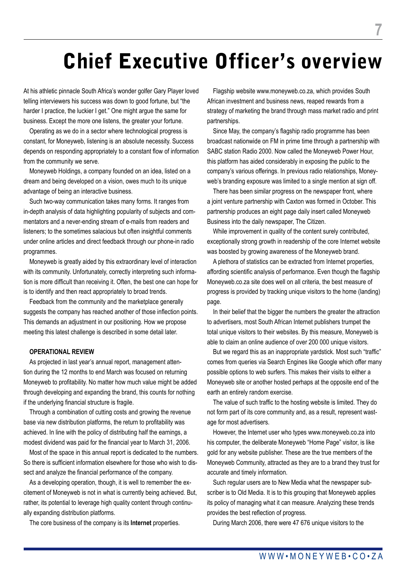## Chief Executive Officer's overview

At his athletic pinnacle South Africa's wonder golfer Gary Player loved telling interviewers his success was down to good fortune, but "the harder I practice, the luckier I get." One might argue the same for business. Except the more one listens, the greater your fortune.

Operating as we do in a sector where technological progress is constant, for Moneyweb, listening is an absolute necessity. Success depends on responding appropriately to a constant flow of information from the community we serve.

Moneyweb Holdings, a company founded on an idea, listed on a dream and being developed on a vision, owes much to its unique advantage of being an interactive business.

Such two-way communication takes many forms. It ranges from in-depth analysis of data highlighting popularity of subjects and commentators and a never-ending stream of e-mails from readers and listeners; to the sometimes salacious but often insightful comments under online articles and direct feedback through our phone-in radio programmes.

Moneyweb is greatly aided by this extraordinary level of interaction with its community. Unfortunately, correctly interpreting such information is more difficult than receiving it. Often, the best one can hope for is to identify and then react appropriately to broad trends.

Feedback from the community and the marketplace generally suggests the company has reached another of those inflection points. This demands an adjustment in our positioning. How we propose meeting this latest challenge is described in some detail later.

#### **Operational review**

As projected in last year's annual report, management attention during the 12 months to end March was focused on returning Moneyweb to profitability. No matter how much value might be added through developing and expanding the brand, this counts for nothing if the underlying financial structure is fragile.

Through a combination of cutting costs and growing the revenue base via new distribution platforms, the return to profitability was achieved. In line with the policy of distributing half the earnings, a modest dividend was paid for the financial year to March 31, 2006.

Most of the space in this annual report is dedicated to the numbers. So there is sufficient information elsewhere for those who wish to dissect and analyze the financial performance of the company.

As a developing operation, though, it is well to remember the excitement of Moneyweb is not in what is currently being achieved. But, rather, its potential to leverage high quality content through continually expanding distribution platforms.

The core business of the company is its **Internet** properties.

Flagship website www.moneyweb.co.za, which provides South African investment and business news, reaped rewards from a strategy of marketing the brand through mass market radio and print partnerships.

Since May, the company's flagship radio programme has been broadcast nationwide on FM in prime time through a partnership with SABC station Radio 2000. Now called the Moneyweb Power Hour, this platform has aided considerably in exposing the public to the company's various offerings. In previous radio relationships, Moneyweb's branding exposure was limited to a single mention at sign off.

There has been similar progress on the newspaper front, where a joint venture partnership with Caxton was formed in October. This partnership produces an eight page daily insert called Moneyweb Business into the daily newspaper, The Citizen.

While improvement in quality of the content surely contributed, exceptionally strong growth in readership of the core Internet website was boosted by growing awareness of the Moneyweb brand.

A plethora of statistics can be extracted from Internet properties, affording scientific analysis of performance. Even though the flagship Moneyweb.co.za site does well on all criteria, the best measure of progress is provided by tracking unique visitors to the home (landing) page.

In their belief that the bigger the numbers the greater the attraction to advertisers, most South African Internet publishers trumpet the total unique visitors to their websites. By this measure, Moneyweb is able to claim an online audience of over 200 000 unique visitors.

But we regard this as an inappropriate yardstick. Most such "traffic" comes from queries via Search Engines like Google which offer many possible options to web surfers. This makes their visits to either a Moneyweb site or another hosted perhaps at the opposite end of the earth an entirely random exercise.

The value of such traffic to the hosting website is limited. They do not form part of its core community and, as a result, represent wastage for most advertisers.

However, the Internet user who types www.moneyweb.co.za into his computer, the deliberate Moneyweb "Home Page" visitor, is like gold for any website publisher. These are the true members of the Moneyweb Community, attracted as they are to a brand they trust for accurate and timely information.

Such regular users are to New Media what the newspaper subscriber is to Old Media. It is to this grouping that Moneyweb applies its policy of managing what it can measure. Analyzing these trends provides the best reflection of progress.

During March 2006, there were 47 676 unique visitors to the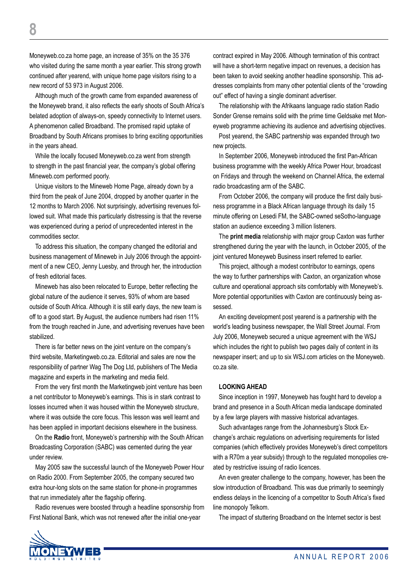Moneyweb.co.za home page, an increase of 35% on the 35 376 who visited during the same month a year earlier. This strong growth continued after yearend, with unique home page visitors rising to a new record of 53 973 in August 2006.

Although much of the growth came from expanded awareness of the Moneyweb brand, it also reflects the early shoots of South Africa's belated adoption of always-on, speedy connectivity to Internet users. A phenomenon called Broadband. The promised rapid uptake of Broadband by South Africans promises to bring exciting opportunities in the years ahead.

While the locally focused Moneyweb.co.za went from strength to strength in the past financial year, the company's global offering Mineweb.com performed poorly.

Unique visitors to the Mineweb Home Page, already down by a third from the peak of June 2004, dropped by another quarter in the 12 months to March 2006. Not surprisingly, advertising revenues followed suit. What made this particularly distressing is that the reverse was experienced during a period of unprecedented interest in the commodities sector.

To address this situation, the company changed the editorial and business management of Mineweb in July 2006 through the appointment of a new CEO, Jenny Luesby, and through her, the introduction of fresh editorial faces.

Mineweb has also been relocated to Europe, better reflecting the global nature of the audience it serves, 93% of whom are based outside of South Africa. Although it is still early days, the new team is off to a good start. By August, the audience numbers had risen 11% from the trough reached in June, and advertising revenues have been stabilized.

There is far better news on the joint venture on the company's third website, Marketingweb.co.za. Editorial and sales are now the responsibility of partner Wag The Dog Ltd, publishers of The Media magazine and experts in the marketing and media field.

From the very first month the Marketingweb joint venture has been a net contributor to Moneyweb's earnings. This is in stark contrast to losses incurred when it was housed within the Moneyweb structure, where it was outside the core focus. This lesson was well learnt and has been applied in important decisions elsewhere in the business.

On the **Radio** front, Moneyweb's partnership with the South African Broadcasting Corporation (SABC) was cemented during the year under review.

May 2005 saw the successful launch of the Moneyweb Power Hour on Radio 2000. From September 2005, the company secured two extra hour-long slots on the same station for phone-in programmes that run immediately after the flagship offering.

Radio revenues were boosted through a headline sponsorship from First National Bank, which was not renewed after the initial one-year

contract expired in May 2006. Although termination of this contract will have a short-term negative impact on revenues, a decision has been taken to avoid seeking another headline sponsorship. This addresses complaints from many other potential clients of the "crowding out" effect of having a single dominant advertiser.

The relationship with the Afrikaans language radio station Radio Sonder Grense remains solid with the prime time Geldsake met Moneyweb programme achieving its audience and advertising objectives.

Post yearend, the SABC partnership was expanded through two new projects.

In September 2006, Moneyweb introduced the first Pan-African business programme with the weekly Africa Power Hour, broadcast on Fridays and through the weekend on Channel Africa, the external radio broadcasting arm of the SABC.

From October 2006, the company will produce the first daily business programme in a Black African language through its daily 15 minute offering on Lesedi FM, the SABC-owned seSotho-language station an audience exceeding 3 million listeners.

The **print media** relationship with major group Caxton was further strengthened during the year with the launch, in October 2005, of the joint ventured Moneyweb Business insert referred to earlier.

This project, although a modest contributor to earnings, opens the way to further partnerships with Caxton, an organization whose culture and operational approach sits comfortably with Moneyweb's. More potential opportunities with Caxton are continuously being assessed.

An exciting development post yearend is a partnership with the world's leading business newspaper, the Wall Street Journal. From July 2006, Moneyweb secured a unique agreement with the WSJ which includes the right to publish two pages daily of content in its newspaper insert; and up to six WSJ.com articles on the Moneyweb. co.za site.

#### **Looking ahead**

Since inception in 1997, Moneyweb has fought hard to develop a brand and presence in a South African media landscape dominated by a few large players with massive historical advantages.

Such advantages range from the Johannesburg's Stock Exchange's archaic regulations on advertising requirements for listed companies (which effectively provides Moneyweb's direct competitors with a R70m a year subsidy) through to the regulated monopolies created by restrictive issuing of radio licences.

An even greater challenge to the company, however, has been the slow introduction of Broadband. This was due primarily to seemingly endless delays in the licencing of a competitor to South Africa's fixed line monopoly Telkom.

The impact of stuttering Broadband on the Internet sector is best

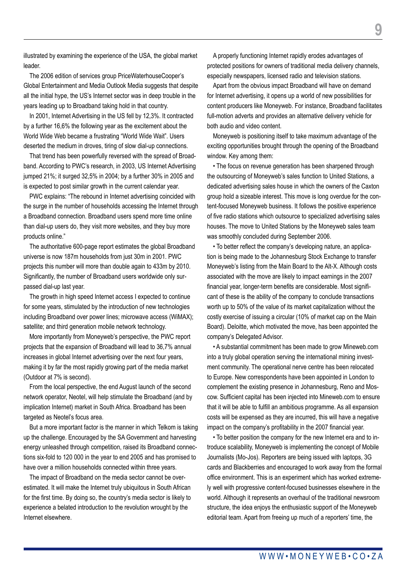illustrated by examining the experience of the USA, the global market leader.

The 2006 edition of services group PriceWaterhouseCooper's Global Entertainment and Media Outlook Media suggests that despite all the initial hype, the US's Internet sector was in deep trouble in the years leading up to Broadband taking hold in that country.

In 2001, Internet Advertising in the US fell by 12,3%. It contracted by a further 16,6% the following year as the excitement about the World Wide Web became a frustrating "World Wide Wait". Users deserted the medium in droves, tiring of slow dial-up connections.

That trend has been powerfully reversed with the spread of Broadband. According to PWC's research, in 2003, US Internet Advertising jumped 21%; it surged 32,5% in 2004; by a further 30% in 2005 and is expected to post similar growth in the current calendar year.

PWC explains: "The rebound in Internet advertising coincided with the surge in the number of households accessing the Internet through a Broadband connection. Broadband users spend more time online than dial-up users do, they visit more websites, and they buy more products online."

The authoritative 600-page report estimates the global Broadband universe is now 187m households from just 30m in 2001. PWC projects this number will more than double again to 433m by 2010. Significantly, the number of Broadband users worldwide only surpassed dial-up last year.

The growth in high speed Internet access I expected to continue for some years, stimulated by the introduction of new technologies including Broadband over power lines; microwave access (WiMAX); satellite; and third generation mobile network technology.

More importantly from Moneyweb's perspective, the PWC report projects that the expansion of Broadband will lead to 36,7% annual increases in global Internet advertising over the next four years, making it by far the most rapidly growing part of the media market (Outdoor at 7% is second).

From the local perspective, the end August launch of the second network operator, Neotel, will help stimulate the Broadband (and by implication Internet) market in South Africa. Broadband has been targeted as Neotel's focus area.

But a more important factor is the manner in which Telkom is taking up the challenge. Encouraged by the SA Government and harvesting energy unleashed through competition, raised its Broadband connections six-fold to 120 000 in the year to end 2005 and has promised to have over a million households connected within three years.

The impact of Broadband on the media sector cannot be overestimated. It will make the Internet truly ubiquitous in South African for the first time. By doing so, the country's media sector is likely to experience a belated introduction to the revolution wrought by the Internet elsewhere.

A properly functioning Internet rapidly erodes advantages of protected positions for owners of traditional media delivery channels, especially newspapers, licensed radio and television stations.

Apart from the obvious impact Broadband will have on demand for Internet advertising, it opens up a world of new possibilities for content producers like Moneyweb. For instance, Broadband facilitates full-motion adverts and provides an alternative delivery vehicle for both audio and video content.

Moneyweb is positioning itself to take maximum advantage of the exciting opportunities brought through the opening of the Broadband window. Key among them:

• The focus on revenue generation has been sharpened through the outsourcing of Moneyweb's sales function to United Stations, a dedicated advertising sales house in which the owners of the Caxton group hold a sizeable interest. This move is long overdue for the content-focused Moneyweb business. It follows the positive experience of five radio stations which outsource to specialized advertising sales houses. The move to United Stations by the Moneyweb sales team was smoothly concluded during September 2006.

• To better reflect the company's developing nature, an application is being made to the Johannesburg Stock Exchange to transfer Moneyweb's listing from the Main Board to the Alt-X. Although costs associated with the move are likely to impact earnings in the 2007 financial year, longer-term benefits are considerable. Most significant of these is the ability of the company to conclude transactions worth up to 50% of the value of its market capitalization without the costly exercise of issuing a circular (10% of market cap on the Main Board). Deloitte, which motivated the move, has been appointed the company's Delegated Advisor.

• A substantial commitment has been made to grow Mineweb.com into a truly global operation serving the international mining investment community. The operational nerve centre has been relocated to Europe. New correspondents have been appointed in London to complement the existing presence in Johannesburg, Reno and Moscow. Sufficient capital has been injected into Mineweb.com to ensure that it will be able to fulfill an ambitious programme. As all expansion costs will be expensed as they are incurred, this will have a negative impact on the company's profitability in the 2007 financial year.

• To better position the company for the new Internet era and to introduce scalability, Moneyweb is implementing the concept of Mobile Journalists (Mo-Jos). Reporters are being issued with laptops, 3G cards and Blackberries and encouraged to work away from the formal office environment. This is an experiment which has worked extremely well with progressive content-focused businesses elsewhere in the world. Although it represents an overhaul of the traditional newsroom structure, the idea enjoys the enthusiastic support of the Moneyweb editorial team. Apart from freeing up much of a reporters' time, the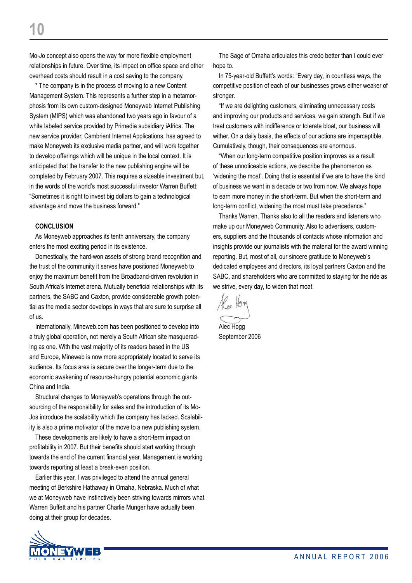Mo-Jo concept also opens the way for more flexible employment relationships in future. Over time, its impact on office space and other overhead costs should result in a cost saving to the company.

\* The company is in the process of moving to a new Content Management System. This represents a further step in a metamorphosis from its own custom-designed Moneyweb Internet Publishing System (MIPS) which was abandoned two years ago in favour of a white labeled service provided by Primedia subsidiary iAfrica. The new service provider, Cambrient Internet Applications, has agreed to make Moneyweb its exclusive media partner, and will work together to develop offerings which will be unique in the local context. It is anticipated that the transfer to the new publishing engine will be completed by February 2007. This requires a sizeable investment but, in the words of the world's most successful investor Warren Buffett: "Sometimes it is right to invest big dollars to gain a technological advantage and move the business forward."

#### **Conclusion**

As Moneyweb approaches its tenth anniversary, the company enters the most exciting period in its existence.

Domestically, the hard-won assets of strong brand recognition and the trust of the community it serves have positioned Moneyweb to enjoy the maximum benefit from the Broadband-driven revolution in South Africa's Internet arena. Mutually beneficial relationships with its partners, the SABC and Caxton, provide considerable growth potential as the media sector develops in ways that are sure to surprise all of us.

Internationally, Mineweb.com has been positioned to develop into a truly global operation, not merely a South African site masquerading as one. With the vast majority of its readers based in the US and Europe, Mineweb is now more appropriately located to serve its audience. Its focus area is secure over the longer-term due to the economic awakening of resource-hungry potential economic giants China and India.

Structural changes to Moneyweb's operations through the outsourcing of the responsibility for sales and the introduction of its Mo-Jos introduce the scalability which the company has lacked. Scalability is also a prime motivator of the move to a new publishing system.

These developments are likely to have a short-term impact on profitability in 2007. But their benefits should start working through towards the end of the current financial year. Management is working towards reporting at least a break-even position.

Earlier this year, I was privileged to attend the annual general meeting of Berkshire Hathaway in Omaha, Nebraska. Much of what we at Moneyweb have instinctively been striving towards mirrors what Warren Buffett and his partner Charlie Munger have actually been doing at their group for decades.



The Sage of Omaha articulates this credo better than I could ever hope to.

In 75-year-old Buffett's words: "Every day, in countless ways, the competitive position of each of our businesses grows either weaker of stronger.

"If we are delighting customers, eliminating unnecessary costs and improving our products and services, we gain strength. But if we treat customers with indifference or tolerate bloat, our business will wither. On a daily basis, the effects of our actions are imperceptible. Cumulatively, though, their consequences are enormous.

"When our long-term competitive position improves as a result of these unnoticeable actions, we describe the phenomenon as 'widening the moat'. Doing that is essential if we are to have the kind of business we want in a decade or two from now. We always hope to earn more money in the short-term. But when the short-term and long-term conflict, widening the moat must take precedence."

Thanks Warren. Thanks also to all the readers and listeners who make up our Moneyweb Community. Also to advertisers, customers, suppliers and the thousands of contacts whose information and insights provide our journalists with the material for the award winning reporting. But, most of all, our sincere gratitude to Moneyweb's dedicated employees and directors, its loyal partners Caxton and the SABC, and shareholders who are committed to staying for the ride as we strive, every day, to widen that moat.

Her Hoge

Alec Hogg September 2006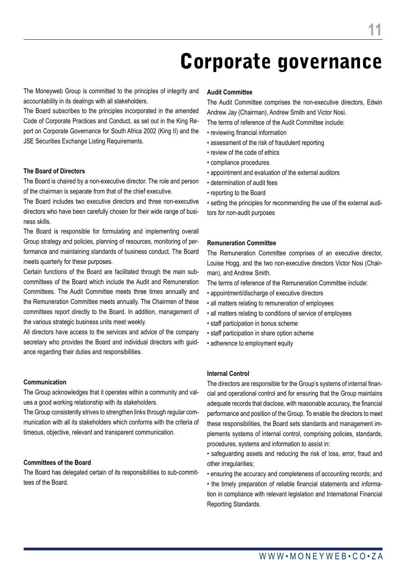## Corporate governance

The Moneyweb Group is committed to the principles of integrity and accountability in its dealings with all stakeholders.

The Board subscribes to the principles incorporated in the amended Code of Corporate Practices and Conduct, as set out in the King Report on Corporate Governance for South Africa 2002 (King II) and the JSE Securities Exchange Listing Requirements.

#### **The Board of Directors**

The Board is chaired by a non-executive director. The role and person of the chairman is separate from that of the chief executive.

The Board includes two executive directors and three non-executive directors who have been carefully chosen for their wide range of business skills.

The Board is responsible for formulating and implementing overall Group strategy and policies, planning of resources, monitoring of performance and maintaining standards of business conduct. The Board meets quarterly for these purposes.

Certain functions of the Board are facilitated through the main subcommittees of the Board which include the Audit and Remuneration Committees. The Audit Committee meets three times annually and the Remuneration Committee meets annually. The Chairmen of these committees report directly to the Board. In addition, management of the various strategic business units meet weekly.

All directors have access to the services and advice of the company secretary who provides the Board and individual directors with guidance regarding their duties and responsibilities.

#### **Communication**

The Group acknowledges that it operates within a community and values a good working relationship with its stakeholders.

The Group consistently strives to strengthen links through regular communication with all its stakeholders which conforms with the criteria of timeous, objective, relevant and transparent communication.

#### **Committees of the Board**

The Board has delegated certain of its responsibilities to sub-committees of the Board.

#### **Audit Committee**

The Audit Committee comprises the non-executive directors, Edwin Andrew Jay (Chairman), Andrew Smith and Victor Nosi.

The terms of reference of the Audit Committee include:

- reviewing financial information
- assessment of the risk of fraudulent reporting
- review of the code of ethics
- compliance procedures
- appointment and evaluation of the external auditors
- determination of audit fees
- reporting to the Board

• setting the principles for recommending the use of the external auditors for non-audit purposes

#### **Remuneration Committee**

The Remuneration Committee comprises of an executive director, Louise Hogg, and the two non-executive directors Victor Nosi (Chairman), and Andrew Smith.

The terms of reference of the Remuneration Committee include:

- appointment/discharge of executive directors
- all matters relating to remuneration of employees
- all matters relating to conditions of service of employees
- staff participation in bonus scheme
- staff participation in share option scheme
- adherence to employment equity

#### **Internal Control**

The directors are responsible for the Group's systems of internal financial and operational control and for ensuring that the Group maintains adequate records that disclose, with reasonable accuracy, the financial performance and position of the Group. To enable the directors to meet these responsibilities, the Board sets standards and management implements systems of internal control, comprising policies, standards, procedures, systems and information to assist in:

• safeguarding assets and reducing the risk of loss, error, fraud and other irregularities;

• ensuring the accuracy and completeness of accounting records; and • the timely preparation of reliable financial statements and information in compliance with relevant legislation and International Financial Reporting Standards.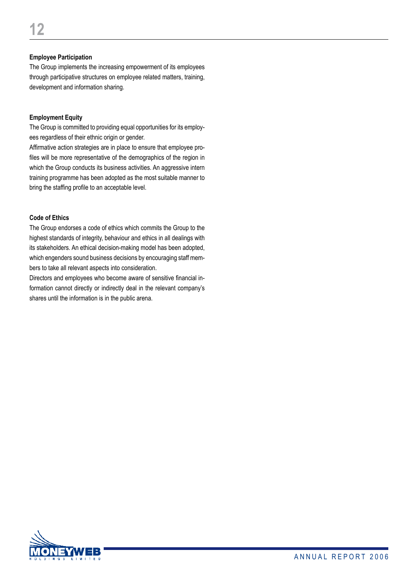#### **Employee Participation**

The Group implements the increasing empowerment of its employees through participative structures on employee related matters, training, development and information sharing.

#### **Employment Equity**

The Group is committed to providing equal opportunities for its employees regardless of their ethnic origin or gender.

Affirmative action strategies are in place to ensure that employee profiles will be more representative of the demographics of the region in which the Group conducts its business activities. An aggressive intern training programme has been adopted as the most suitable manner to bring the staffing profile to an acceptable level.

#### **Code of Ethics**

The Group endorses a code of ethics which commits the Group to the highest standards of integrity, behaviour and ethics in all dealings with its stakeholders. An ethical decision-making model has been adopted, which engenders sound business decisions by encouraging staff members to take all relevant aspects into consideration.

Directors and employees who become aware of sensitive financial information cannot directly or indirectly deal in the relevant company's shares until the information is in the public arena.

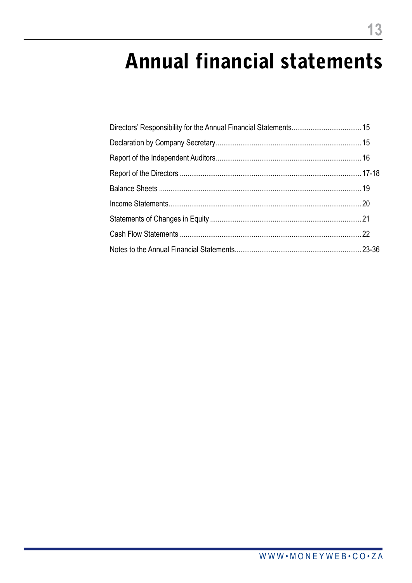## **Annual financial statements**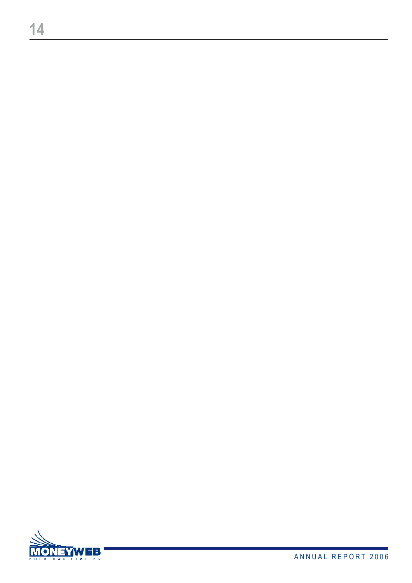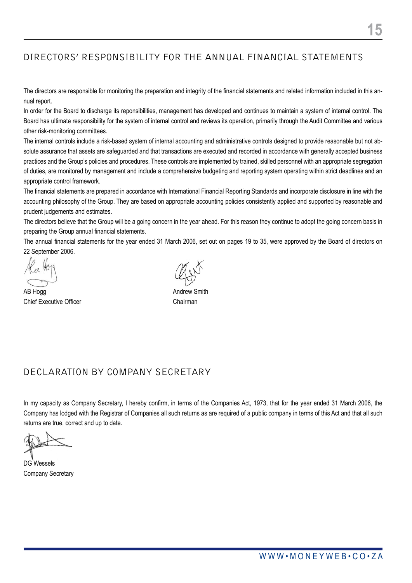## DIRECTORS' RESPONSIBILITY FOR THE ANNUAL FINANCIAL STATEMENTS

The directors are responsible for monitoring the preparation and integrity of the financial statements and related information included in this annual report.

In order for the Board to discharge its reponsibilities, management has developed and continues to maintain a system of internal control. The Board has ultimate responsibility for the system of internal control and reviews its operation, primarily through the Audit Committee and various other risk-monitoring committees.

The internal controls include a risk-based system of internal accounting and administrative controls designed to provide reasonable but not absolute assurance that assets are safeguarded and that transactions are executed and recorded in accordance with generally accepted business practices and the Group's policies and procedures. These controls are implemented by trained, skilled personnel with an appropriate segregation of duties, are monitored by management and include a comprehensive budgeting and reporting system operating within strict deadlines and an appropriate control framework.

The financial statements are prepared in accordance with International Financial Reporting Standards and incorporate disclosure in line with the accounting philosophy of the Group. They are based on appropriate accounting policies consistently applied and supported by reasonable and prudent judgements and estimates.

The directors believe that the Group will be a going concern in the year ahead. For this reason they continue to adopt the going concern basis in preparing the Group annual financial statements.

The annual financial statements for the year ended 31 March 2006, set out on pages 19 to 35, were approved by the Board of directors on 22 September 2006.

AB Hogg Andrew Smith Chief Executive Officer Chairman

### DECLARATION BY COMPANY SECRETARY

In my capacity as Company Secretary, I hereby confirm, in terms of the Companies Act, 1973, that for the year ended 31 March 2006, the Company has lodged with the Registrar of Companies all such returns as are required of a public company in terms of this Act and that all such returns are true, correct and up to date.

DG Wessels Company Secretary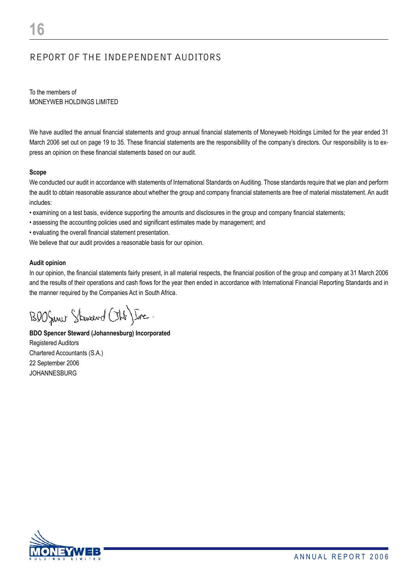## REPORT OF THE INDEPENDENT AUDITORS

To the members of MONEYWEB HOLDINGS LIMITED

We have audited the annual financial statements and group annual financial statements of Moneyweb Holdings Limited for the year ended 31 March 2006 set out on page 19 to 35. These financial statements are the responsibillity of the company's directors. Our responsibility is to express an opinion on these financial statements based on our audit.

#### **Scope**

We conducted our audit in accordance with statements of International Standards on Auditing. Those standards require that we plan and perform the audit to obtain reasonable assurance about whether the group and company financial statements are free of material misstatement. An audit includes:

• examining on a test basis, evidence supporting the amounts and disclosures in the group and company financial statements;

- assessing the accounting policies used and significant estimates made by management; and
- evaluating the overall financial statement presentation.

We believe that our audit provides a reasonable basis for our opinion.

#### **Audit opinion**

In our opinion, the financial statements fairly present, in all material respects, the financial position of the group and company at 31 March 2006 and the results of their operations and cash flows for the year then ended in accordance with International Financial Reporting Standards and in the manner required by the Companies Act in South Africa.

BOOSANN Steward (The) Ire.

**BDO Spencer Steward (Johannesburg) Incorporated** Registered Auditors Chartered Accountants (S.A.) 22 September 2006 JOHANNESBURG

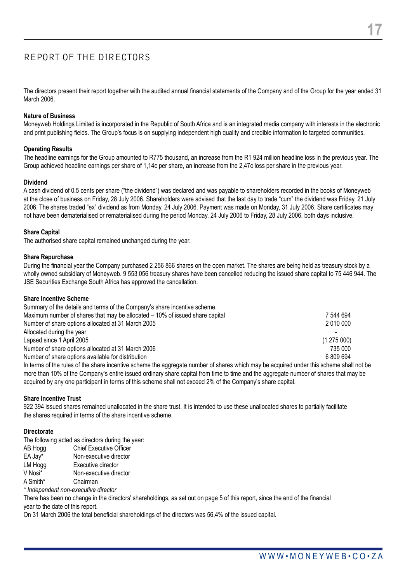## REPORT OF THE DIRECTORS

The directors present their report together with the audited annual financial statements of the Company and of the Group for the year ended 31 March 2006.

#### **Nature of Business**

Moneyweb Holdings Limited is incorporated in the Republic of South Africa and is an integrated media company with interests in the electronic and print publishing fields. The Group's focus is on supplying independent high quality and credible information to targeted communities.

#### **Operating Results**

The headline earnings for the Group amounted to R775 thousand, an increase from the R1 924 million headline loss in the previous year. The Group achieved headline earnings per share of 1,14c per share, an increase from the 2,47c loss per share in the previous year.

#### **Dividend**

A cash dividend of 0.5 cents per share ("the dividend") was declared and was payable to shareholders recorded in the books of Moneyweb at the close of business on Friday, 28 July 2006. Shareholders were advised that the last day to trade "cum" the dividend was Friday, 21 July 2006. The shares traded "ex" dividend as from Monday, 24 July 2006. Payment was made on Monday, 31 July 2006. Share certificates may not have been dematerialised or rematerialised during the period Monday, 24 July 2006 to Friday, 28 July 2006, both days inclusive.

#### **Share Capital**

The authorised share capital remained unchanged during the year.

#### **Share Repurchase**

During the financial year the Company purchased 2 256 866 shares on the open market. The shares are being held as treasury stock by a wholly owned subsidiary of Moneyweb. 9 553 056 treasury shares have been cancelled reducing the issued share capital to 75 446 944. The JSE Securities Exchange South Africa has approved the cancellation.

#### **Share Incentive Scheme**

| Summary of the details and terms of the Company's share incentive scheme.                                                               |           |
|-----------------------------------------------------------------------------------------------------------------------------------------|-----------|
| Maximum number of shares that may be allocated – 10% of issued share capital                                                            | 7 544 694 |
| Number of share options allocated at 31 March 2005                                                                                      | 2010000   |
| Allocated during the year                                                                                                               |           |
| Lapsed since 1 April 2005                                                                                                               | (1275000) |
| Number of share options allocated at 31 March 2006                                                                                      | 735 000   |
| Number of share options available for distribution                                                                                      | 6809694   |
| In terms of the rules of the share incentive scheme the aggregate number of shares which may be acquired under this scheme shall not be |           |
| mare than 100/ of the Campanu's opting issued ordinary above sopital from time to time and the cagregate number of above that may be    |           |

more than 10% of the Company's entire issued ordinary share capital from time to time and the aggregate number of shares that may be acquired by any one participant in terms of this scheme shall not exceed 2% of the Company's share capital.

#### **Share Incentive Trust**

922 394 issued shares remained unallocated in the share trust. It is intended to use these unallocated shares to partially facilitate the shares required in terms of the share incentive scheme.

#### **Directorate**

The following acted as directors during the year:

- AB Hogg Chief Executive Officer
- EA Jay\* Non-executive director
- LM Hogg<br>
V Nosi<sup>\*</sup>

U Non-executive director<br>
V Nosi<sup>\*</sup>

U Non-executive director
- V Nosi<sup>\*</sup> Non-executive director<br>A Smith<sup>\*</sup> Chairman
- **Chairman**

*\* Independent non-executive director*

There has been no change in the directors' shareholdings, as set out on page 5 of this report, since the end of the financial year to the date of this report.

On 31 March 2006 the total beneficial shareholdings of the directors was 56,4% of the issued capital.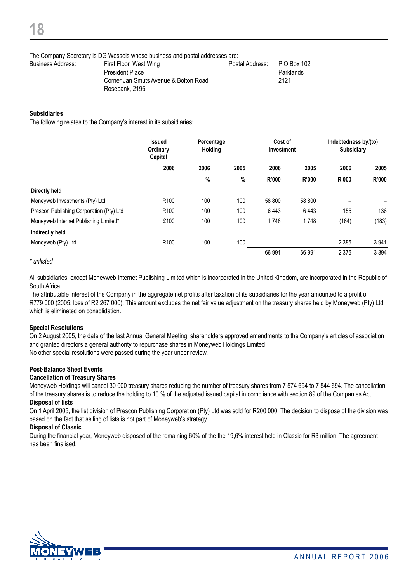The Company Secretary is DG Wessels whose business and postal addresses are: Business Address: First Floor, West Wing Public Postal Address: P O Box 102

| <b>President Place</b>                | Parklands |
|---------------------------------------|-----------|
| Corner Jan Smuts Avenue & Bolton Road | 2121      |
| Rosebank, 2196                        |           |

#### **Subsidiaries**

The following relates to the Company's interest in its subsidiaries:

|                                          | <b>Issued</b><br>Ordinary<br>Capital | Percentage<br>Holding |      | Cost of<br>Investment |        | Indebtedness by/(to)<br>Subsidiary |         |
|------------------------------------------|--------------------------------------|-----------------------|------|-----------------------|--------|------------------------------------|---------|
|                                          | 2006                                 | 2006                  | 2005 | 2006                  | 2005   | 2006                               | 2005    |
|                                          |                                      | $\%$                  | $\%$ | <b>R'000</b>          | R'000  | <b>R'000</b>                       | R'000   |
| Directly held                            |                                      |                       |      |                       |        |                                    |         |
| Moneyweb Investments (Pty) Ltd           | R <sub>100</sub>                     | 100                   | 100  | 58 800                | 58 800 |                                    |         |
| Prescon Publishing Corporation (Pty) Ltd | R <sub>100</sub>                     | 100                   | 100  | 6443                  | 6443   | 155                                | 136     |
| Moneyweb Internet Publishing Limited*    | £100                                 | 100                   | 100  | 1748                  | 1748   | (164)                              | (183)   |
| Indirectly held                          |                                      |                       |      |                       |        |                                    |         |
| Moneyweb (Pty) Ltd                       | R <sub>100</sub>                     | 100                   | 100  |                       |        | 2 3 8 5                            | 3 9 4 1 |
|                                          |                                      |                       |      | 66 991                | 66 991 | 2 3 7 6                            | 3894    |

*\* unlisted*

All subsidiaries, except Moneyweb Internet Publishing Limited which is incorporated in the United Kingdom, are incorporated in the Republic of South Africa.

The attributable interest of the Company in the aggregate net profits after taxation of its subsidiaries for the year amounted to a profit of R779 000 (2005: loss of R2 267 000). This amount excludes the net fair value adjustment on the treasury shares held by Moneyweb (Pty) Ltd which is eliminated on consolidation.

#### **Special Resolutions**

On 2 August 2005, the date of the last Annual General Meeting, shareholders approved amendments to the Company's articles of association and granted directors a general authority to repurchase shares in Moneyweb Holdings Limited No other special resolutions were passed during the year under review.

#### **Post-Balance Sheet Events**

#### **Cancellation of Treasury Shares**

Moneyweb Holdings will cancel 30 000 treasury shares reducing the number of treasury shares from 7 574 694 to 7 544 694. The cancellation of the treasury shares is to reduce the holding to 10 % of the adjusted issued capital in compliance with section 89 of the Companies Act. **Disposal of lists**

On 1 April 2005, the list division of Prescon Publishing Corporation (Pty) Ltd was sold for R200 000. The decision to dispose of the division was based on the fact that selling of lists is not part of Moneyweb's strategy.

#### **Disposal of Classic**

During the financial year, Moneyweb disposed of the remaining 60% of the the 19,6% interest held in Classic for R3 million. The agreement has been finalised.

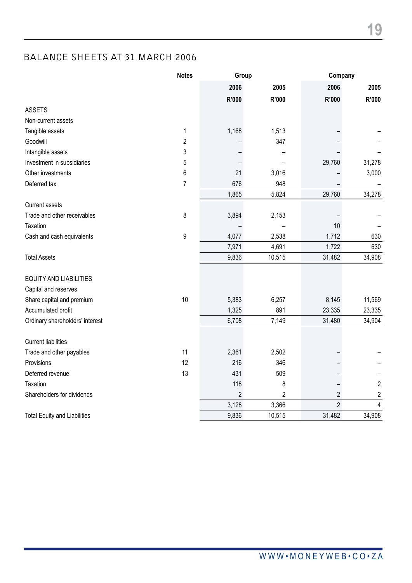## BALANCE SHEETS AT 31 MARCH 2006

|                                     | <b>Notes</b>   | Group          |                | Company        |                |
|-------------------------------------|----------------|----------------|----------------|----------------|----------------|
|                                     |                | 2006           | 2005           | 2006           | 2005           |
|                                     |                | R'000          | R'000          | R'000          | R'000          |
| <b>ASSETS</b>                       |                |                |                |                |                |
| Non-current assets                  |                |                |                |                |                |
| Tangible assets                     | $\mathbf 1$    | 1,168          | 1,513          |                |                |
| Goodwill                            | $\overline{2}$ |                | 347            |                |                |
| Intangible assets                   | 3              |                |                |                |                |
| Investment in subsidiaries          | 5              |                |                | 29,760         | 31,278         |
| Other investments                   | 6              | 21             | 3,016          |                | 3,000          |
| Deferred tax                        | $\overline{7}$ | 676            | 948            |                |                |
|                                     |                | 1,865          | 5,824          | 29,760         | 34,278         |
| <b>Current assets</b>               |                |                |                |                |                |
| Trade and other receivables         | 8              | 3,894          | 2,153          |                |                |
| Taxation                            |                |                |                | 10             |                |
| Cash and cash equivalents           | 9              | 4,077          | 2,538          | 1,712          | 630            |
|                                     |                | 7,971          | 4,691          | 1,722          | 630            |
| <b>Total Assets</b>                 |                | 9,836          | 10,515         | 31,482         | 34,908         |
|                                     |                |                |                |                |                |
| <b>EQUITY AND LIABILITIES</b>       |                |                |                |                |                |
| Capital and reserves                |                |                |                |                |                |
| Share capital and premium           | 10             | 5,383          | 6,257          | 8,145          | 11,569         |
| Accumulated profit                  |                | 1,325          | 891            | 23,335         | 23,335         |
| Ordinary shareholders' interest     |                | 6,708          | 7,149          | 31,480         | 34,904         |
|                                     |                |                |                |                |                |
| <b>Current liabilities</b>          |                |                |                |                |                |
| Trade and other payables            | 11             | 2,361          | 2,502          |                |                |
| Provisions                          | 12             | 216            | 346            |                |                |
| Deferred revenue                    | 13             | 431            | 509            |                |                |
| Taxation                            |                | 118            | 8              |                | $\sqrt{2}$     |
| Shareholders for dividends          |                | $\overline{2}$ | $\overline{2}$ | $\overline{2}$ | $\overline{c}$ |
|                                     |                | 3,128          | 3,366          | $\overline{2}$ | $\overline{4}$ |
| <b>Total Equity and Liabilities</b> |                | 9,836          | 10,515         | 31,482         | 34,908         |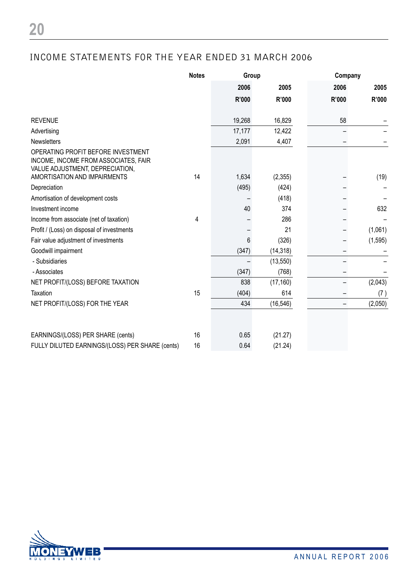## INCOME STATEMENTS FOR THE YEAR ENDED 31 MARCH 2006

|                                                                                                                                               | <b>Notes</b><br>Group |        |           | Company         |          |  |
|-----------------------------------------------------------------------------------------------------------------------------------------------|-----------------------|--------|-----------|-----------------|----------|--|
|                                                                                                                                               |                       | 2006   | 2005      | 2006            | 2005     |  |
|                                                                                                                                               |                       | R'000  | R'000     | R'000           | R'000    |  |
| <b>REVENUE</b>                                                                                                                                |                       | 19,268 | 16,829    | 58              |          |  |
| Advertising                                                                                                                                   |                       | 17,177 | 12,422    |                 |          |  |
| <b>Newsletters</b>                                                                                                                            |                       | 2,091  | 4,407     |                 |          |  |
| OPERATING PROFIT BEFORE INVESTMENT<br>INCOME, INCOME FROM ASSOCIATES, FAIR<br>VALUE ADJUSTMENT, DEPRECIATION,<br>AMORTISATION AND IMPAIRMENTS | 14                    | 1,634  | (2,355)   |                 | (19)     |  |
| Depreciation                                                                                                                                  |                       | (495)  | (424)     |                 |          |  |
| Amortisation of development costs                                                                                                             |                       |        | (418)     |                 |          |  |
| Investment income                                                                                                                             |                       | 40     | 374       |                 | 632      |  |
| Income from associate (net of taxation)                                                                                                       | 4                     |        | 286       |                 |          |  |
| Profit / (Loss) on disposal of investments                                                                                                    |                       |        | 21        |                 | (1,061)  |  |
| Fair value adjustment of investments                                                                                                          |                       | 6      | (326)     |                 | (1, 595) |  |
| Goodwill impairment                                                                                                                           |                       | (347)  | (14, 318) |                 |          |  |
| - Subsidiaries                                                                                                                                |                       |        | (13, 550) |                 |          |  |
| - Associates                                                                                                                                  |                       | (347)  | (768)     |                 |          |  |
| NET PROFIT/(LOSS) BEFORE TAXATION                                                                                                             |                       | 838    | (17, 160) | -               | (2,043)  |  |
| Taxation                                                                                                                                      | 15                    | (404)  | 614       |                 | (7)      |  |
| NET PROFIT/(LOSS) FOR THE YEAR                                                                                                                |                       | 434    | (16, 546) | $\qquad \qquad$ | (2,050)  |  |
| EARNINGS/(LOSS) PER SHARE (cents)                                                                                                             | 16                    | 0.65   | (21.27)   |                 |          |  |
| FULLY DILUTED EARNINGS/(LOSS) PER SHARE (cents)                                                                                               | 16                    | 0.64   | (21.24)   |                 |          |  |

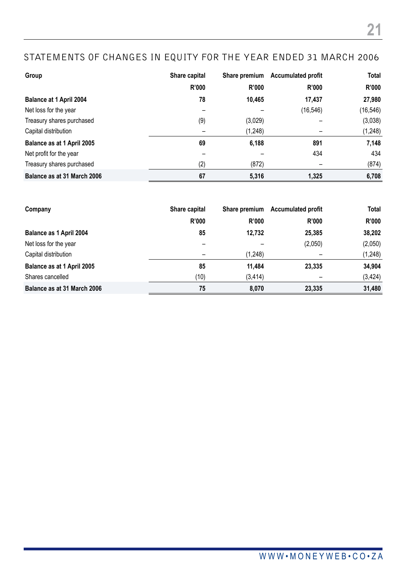## STATEMENTS OF CHANGES IN EQUITY FOR THE YEAR ENDED 31 MARCH 2006

| Group                       | Share capital | Share premium | <b>Accumulated profit</b> | Total     |
|-----------------------------|---------------|---------------|---------------------------|-----------|
|                             | R'000         | <b>R'000</b>  | R'000                     | R'000     |
| Balance at 1 April 2004     | 78            | 10,465        | 17,437                    | 27,980    |
| Net loss for the year       |               |               | (16, 546)                 | (16, 546) |
| Treasury shares purchased   | (9)           | (3,029)       |                           | (3,038)   |
| Capital distribution        |               | (1, 248)      |                           | (1,248)   |
| Balance as at 1 April 2005  | 69            | 6,188         | 891                       | 7,148     |
| Net profit for the year     |               |               | 434                       | 434       |
| Treasury shares purchased   | (2)           | (872)         |                           | (874)     |
| Balance as at 31 March 2006 | 67            | 5,316         | 1,325                     | 6,708     |

| Company                     | Share capital | Share premium | <b>Accumulated profit</b> | Total    |
|-----------------------------|---------------|---------------|---------------------------|----------|
|                             | R'000         | <b>R'000</b>  | R'000                     | R'000    |
| Balance as 1 April 2004     | 85            | 12,732        | 25,385                    | 38,202   |
| Net loss for the year       |               |               | (2,050)                   | (2,050)  |
| Capital distribution        |               | (1, 248)      |                           | (1,248)  |
| Balance as at 1 April 2005  | 85            | 11,484        | 23,335                    | 34,904   |
| Shares cancelled            | (10)          | (3, 414)      |                           | (3, 424) |
| Balance as at 31 March 2006 | 75            | 8,070         | 23,335                    | 31,480   |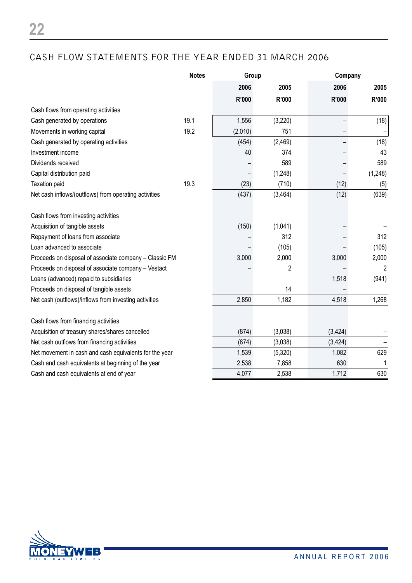## CASH FLOW STATEMENTS FOR THE YEAR ENDED 31 MARCH 2006

|                                                        | <b>Notes</b> | Group   |          |          | Company        |  |
|--------------------------------------------------------|--------------|---------|----------|----------|----------------|--|
|                                                        |              | 2006    | 2005     | 2006     | 2005           |  |
|                                                        |              | R'000   | R'000    | R'000    | R'000          |  |
| Cash flows from operating activities                   |              |         |          |          |                |  |
| Cash generated by operations                           | 19.1         | 1,556   | (3,220)  |          | (18)           |  |
| Movements in working capital                           | 19.2         | (2,010) | 751      |          |                |  |
| Cash generated by operating activities                 |              | (454)   | (2,469)  |          | (18)           |  |
| Investment income                                      |              | 40      | 374      |          | 43             |  |
| Dividends received                                     |              |         | 589      |          | 589            |  |
| Capital distribution paid                              |              |         | (1,248)  |          | (1,248)        |  |
| Taxation paid                                          | 19.3         | (23)    | (710)    | (12)     | (5)            |  |
| Net cash inflows/(outflows) from operating activities  |              | (437)   | (3, 464) | (12)     | (639)          |  |
| Cash flows from investing activities                   |              |         |          |          |                |  |
| Acquisition of tangible assets                         |              | (150)   | (1,041)  |          |                |  |
| Repayment of loans from associate                      |              |         | 312      |          | 312            |  |
| Loan advanced to associate                             |              |         | (105)    |          | (105)          |  |
| Proceeds on disposal of associate company - Classic FM |              | 3,000   | 2,000    | 3,000    | 2,000          |  |
| Proceeds on disposal of associate company - Vestact    |              |         | 2        |          | $\overline{c}$ |  |
| Loans (advanced) repaid to subsidiaries                |              |         |          | 1,518    | (941)          |  |
| Proceeds on disposal of tangible assets                |              |         | 14       |          |                |  |
| Net cash (outflows)/inflows from investing activities  |              | 2,850   | 1,182    | 4,518    | 1,268          |  |
| Cash flows from financing activities                   |              |         |          |          |                |  |
| Acquisition of treasury shares/shares cancelled        |              | (874)   | (3,038)  | (3, 424) |                |  |
| Net cash outflows from financing activities            |              | (874)   | (3,038)  | (3, 424) |                |  |
| Net movement in cash and cash equivalents for the year |              | 1,539   | (5,320)  | 1,082    | 629            |  |
| Cash and cash equivalents at beginning of the year     |              | 2,538   | 7,858    | 630      |                |  |
| Cash and cash equivalents at end of year               |              | 4,077   | 2,538    | 1,712    | 630            |  |

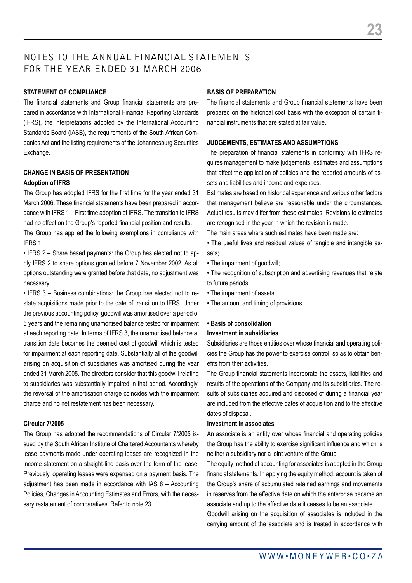## NOTES TO THE ANNUAL FINANCIAL STATEMENTS FOR THE YEAR ENDED 31 MARCH 2006

#### **Statement of compliance**

The financial statements and Group financial statements are prepared in accordance with International Financial Reporting Standards (IFRS), the interpretations adopted by the International Accounting Standards Board (IASB), the requirements of the South African Companies Act and the listing requirements of the Johannesburg Securities Exchange.

### **CHANGE IN BASIS OF PRESENTATION**

#### **Adoption of IFRS**

The Group has adopted IFRS for the first time for the year ended 31 March 2006. These financial statements have been prepared in accordance with IFRS 1 – First time adoption of IFRS. The transition to IFRS had no effect on the Group's reported financial position and results.

The Group has applied the following exemptions in compliance with IFRS 1:

• IFRS 2 – Share based payments: the Group has elected not to apply IFRS 2 to share options granted before 7 November 2002. As all options outstanding were granted before that date, no adjustment was necessary;

• IFRS 3 – Business combinations: the Group has elected not to restate acquisitions made prior to the date of transition to IFRS. Under the previous accounting policy, goodwill was amortised over a period of 5 years and the remaining unamortised balance tested for impairment at each reporting date. In terms of IFRS 3, the unamortised balance at transition date becomes the deemed cost of goodwill which is tested for impairment at each reporting date. Substantially all of the goodwill arising on acquisition of subsidiaries was amortised during the year ended 31 March 2005. The directors consider that this goodwill relating to subsidiaries was substantially impaired in that period. Accordingly, the reversal of the amortisation charge coincides with the impairment charge and no net restatement has been necessary.

#### **Circular 7/2005**

The Group has adopted the recommendations of Circular 7/2005 issued by the South African Institute of Chartered Accountants whereby lease payments made under operating leases are recognized in the income statement on a straight-line basis over the term of the lease. Previously, operating leases were expensed on a payment basis. The adjustment has been made in accordance with IAS 8 – Accounting Policies, Changes in Accounting Estimates and Errors, with the necessary restatement of comparatives. Refer to note 23.

#### **BASIS OF PREPARATION**

The financial statements and Group financial statements have been prepared on the historical cost basis with the exception of certain financial instruments that are stated at fair value.

#### **JUDGEMENTS, ESTIMATES AND ASSUMPTIONS**

The preparation of financial statements in conformity with IFRS requires management to make judgements, estimates and assumptions that affect the application of policies and the reported amounts of assets and liabilities and income and expenses.

Estimates are based on historical experience and various other factors that management believe are reasonable under the circumstances. Actual results may differ from these estimates. Revisions to estimates are recognised in the year in which the revision is made.

The main areas where such estimates have been made are:

• The useful lives and residual values of tangible and intangible assets;

- The impairment of goodwill;
- The recognition of subscription and advertising revenues that relate to future periods;
- The impairment of assets;
- The amount and timing of provisions.

#### **• Basis of consolidation**

#### **Investment in subsidiaries**

Subsidiaries are those entities over whose financial and operating policies the Group has the power to exercise control, so as to obtain benefits from their activities.

The Group financial statements incorporate the assets, liabilities and results of the operations of the Company and its subsidiaries. The results of subsidiaries acquired and disposed of during a financial year are included from the effective dates of acquisition and to the effective dates of disposal.

#### **Investment in associates**

An associate is an entity over whose financial and operating policies the Group has the ability to exercise significant influence and which is neither a subsidiary nor a joint venture of the Group.

The equity method of accounting for associates is adopted in the Group financial statements. In applying the equity method, account is taken of the Group's share of accumulated retained earnings and movements in reserves from the effective date on which the enterprise became an associate and up to the effective date it ceases to be an associate.

Goodwill arising on the acquisition of associates is included in the carrying amount of the associate and is treated in accordance with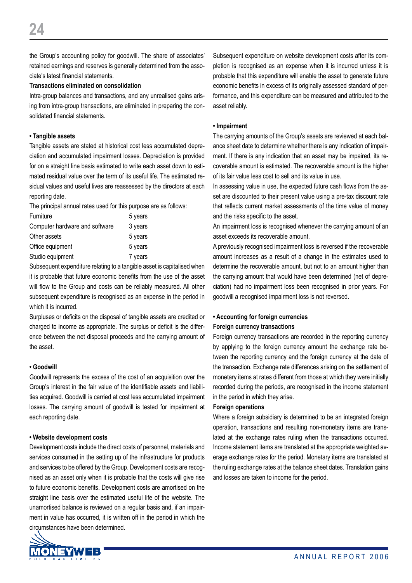the Group's accounting policy for goodwill. The share of associates' retained earnings and reserves is generally determined from the associate's latest financial statements.

#### **Transactions eliminated on consolidation**

Intra-group balances and transactions, and any unrealised gains arising from intra-group transactions, are eliminated in preparing the consolidated financial statements.

#### **• Tangible assets**

Tangible assets are stated at historical cost less accumulated depreciation and accumulated impairment losses. Depreciation is provided for on a straight line basis estimated to write each asset down to estimated residual value over the term of its useful life. The estimated residual values and useful lives are reassessed by the directors at each reporting date.

The principal annual rates used for this purpose are as follows:

| Furniture                      | 5 years |
|--------------------------------|---------|
| Computer hardware and software | 3 years |
| Other assets                   | 5 years |
| Office equipment               | 5 years |
| Studio equipment               | 7 years |

Subsequent expenditure relating to a tangible asset is capitalised when it is probable that future economic benefits from the use of the asset will flow to the Group and costs can be reliably measured. All other subsequent expenditure is recognised as an expense in the period in which it is incurred.

Surpluses or deficits on the disposal of tangible assets are credited or charged to income as appropriate. The surplus or deficit is the difference between the net disposal proceeds and the carrying amount of the asset.

#### **• Goodwill**

Goodwill represents the excess of the cost of an acquisition over the Group's interest in the fair value of the identifiable assets and liabilities acquired. Goodwill is carried at cost less accumulated impairment losses. The carrying amount of goodwill is tested for impairment at each reporting date.

#### **• Website development costs**

Development costs include the direct costs of personnel, materials and services consumed in the setting up of the infrastructure for products and services to be offered by the Group. Development costs are recognised as an asset only when it is probable that the costs will give rise to future economic benefits. Development costs are amortised on the straight line basis over the estimated useful life of the website. The unamortised balance is reviewed on a regular basis and, if an impairment in value has occurred, it is written off in the period in which the circumstances have been determined.



Subsequent expenditure on website development costs after its completion is recognised as an expense when it is incurred unless it is probable that this expenditure will enable the asset to generate future economic benefits in excess of its originally assessed standard of performance, and this expenditure can be measured and attributed to the asset reliably.

#### **• Impairment**

The carrying amounts of the Group's assets are reviewed at each balance sheet date to determine whether there is any indication of impairment. If there is any indication that an asset may be impaired, its recoverable amount is estimated. The recoverable amount is the higher of its fair value less cost to sell and its value in use.

In assessing value in use, the expected future cash flows from the asset are discounted to their present value using a pre-tax discount rate that reflects current market assessments of the time value of money and the risks specific to the asset.

An impairment loss is recognised whenever the carrying amount of an asset exceeds its recoverable amount.

A previously recognised impairment loss is reversed if the recoverable amount increases as a result of a change in the estimates used to determine the recoverable amount, but not to an amount higher than the carrying amount that would have been determined (net of depreciation) had no impairment loss been recognised in prior years. For goodwill a recognised impairment loss is not reversed.

#### **• Accounting for foreign currencies Foreign currency transactions**

Foreign currency transactions are recorded in the reporting currency by applying to the foreign currency amount the exchange rate between the reporting currency and the foreign currency at the date of the transaction. Exchange rate differences arising on the settlement of monetary items at rates different from those at which they were initially recorded during the periods, are recognised in the income statement in the period in which they arise.

#### **Foreign operations**

Where a foreign subsidiary is determined to be an integrated foreign operation, transactions and resulting non-monetary items are translated at the exchange rates ruling when the transactions occurred. Income statement items are translated at the appropriate weighted average exchange rates for the period. Monetary items are translated at the ruling exchange rates at the balance sheet dates. Translation gains and losses are taken to income for the period.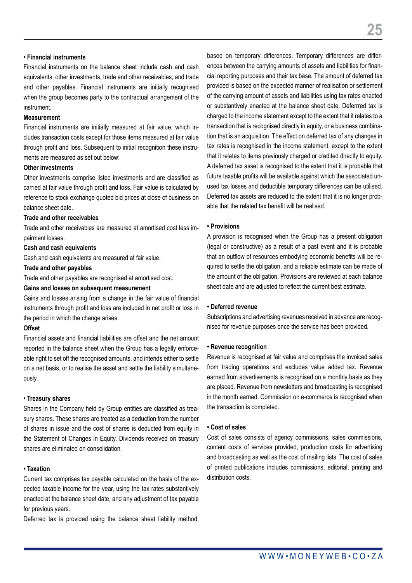#### **• Financial instruments**

Financial instruments on the balance sheet include cash and cash equivalents, other investments, trade and other receivables, and trade and other payables. Financial instruments are initially recognised when the group becomes party to the contractual arrangement of the instrument.

#### **Measurement**

Financial instruments are initially measured at fair value, which includes transaction costs except for those items measured at fair value through profit and loss. Subsequent to initial recognition these instruments are measured as set out below:

#### **Other investments**

Other investments comprise listed investments and are classified as carried at fair value through profit and loss. Fair value is calculated by reference to stock exchange quoted bid prices at close of business on balance sheet date.

#### **Trade and other receivables**

Trade and other receivables are measured at amortised cost less impairment losses.

#### **Cash and cash equivalents**

Cash and cash equivalents are measured at fair value.

#### **Trade and other payables**

Trade and other payables are recognised at amortised cost.

#### **Gains and losses on subsequent measurement**

Gains and losses arising from a change in the fair value of financial instruments through profit and loss are included in net profit or loss in the period in which the change arises.

#### **Offset**

Financial assets and financial liabilities are offset and the net amount reported in the balance sheet when the Group has a legally enforceable right to set off the recognised amounts, and intends either to settle on a net basis, or to realise the asset and settle the liability simultaneously.

#### **• Treasury shares**

Shares in the Company held by Group entities are classified as treasury shares. These shares are treated as a deduction from the number of shares in issue and the cost of shares is deducted from equity in the Statement of Changes in Equity. Dividends received on treasury shares are eliminated on consolidation.

#### **• Taxation**

Current tax comprises tax payable calculated on the basis of the expected taxable income for the year, using the tax rates substantively enacted at the balance sheet date, and any adjustment of tax payable for previous years.

Deferred tax is provided using the balance sheet liability method,

based on temporary differences. Temporary differences are differences between the carrying amounts of assets and liabilities for financial reporting purposes and their tax base. The amount of deferred tax provided is based on the expected manner of realisation or settlement of the carrying amount of assets and liabilities using tax rates enacted or substantively enacted at the balance sheet date. Deferrred tax is charged to the income statement except to the extent that it relates to a transaction that is recognised directly in equity, or a business combination that is an acquisition. The effect on deferred tax of any changes in tax rates is recognised in the income statement, except to the extent that it relates to items previously charged or credited directly to equity. A deferred tax asset is recognised to the extent that it is probable that future taxable profits will be available against which the associated unused tax losses and deductible temporary differences can be utilised. Deferred tax assets are reduced to the extent that it is no longer probable that the related tax benefit will be realised.

#### **• Provisions**

A provision is recognised when the Group has a present obligation (legal or constructive) as a result of a past event and it is probable that an outflow of resources embodying economic benefits will be required to settle the obligation, and a reliable estimate can be made of the amount of the obligation. Provisions are reviewed at each balance sheet date and are adjusted to reflect the current best estimate.

#### **• Deferred revenue**

Subscriptions and advertising revenues received in advance are recognised for revenue purposes once the service has been provided.

#### **• Revenue recognition**

Revenue is recognised at fair value and comprises the invoiced sales from trading operations and excludes value added tax. Revenue earned from advertisements is recognised on a monthly basis as they are placed. Revenue from newsletters and broadcasting is recognised in the month earned. Commission on e-commerce is recognised when the transaction is completed.

#### **• Cost of sales**

Cost of sales consists of agency commissions, sales commissions, content costs of services provided, production costs for advertising and broadcasting as well as the cost of mailing lists. The cost of sales of printed publications includes commissions, editorial, printing and distribution costs.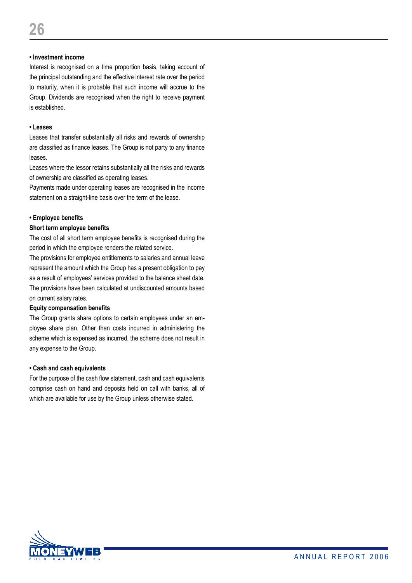#### **• Investment income**

Interest is recognised on a time proportion basis, taking account of the principal outstanding and the effective interest rate over the period to maturity, when it is probable that such income will accrue to the Group. Dividends are recognised when the right to receive payment is established.

#### **• Leases**

Leases that transfer substantially all risks and rewards of ownership are classified as finance leases. The Group is not party to any finance leases.

Leases where the lessor retains substantially all the risks and rewards of ownership are classified as operating leases.

Payments made under operating leases are recognised in the income statement on a straight-line basis over the term of the lease.

#### **• Employee benefits**

#### **Short term employee benefits**

The cost of all short term employee benefits is recognised during the period in which the employee renders the related service.

The provisions for employee entitlements to salaries and annual leave represent the amount which the Group has a present obligation to pay as a result of employees' services provided to the balance sheet date. The provisions have been calculated at undiscounted amounts based on current salary rates.

#### **Equity compensation benefits**

The Group grants share options to certain employees under an employee share plan. Other than costs incurred in administering the scheme which is expensed as incurred, the scheme does not result in any expense to the Group.

#### **• Cash and cash equivalents**

For the purpose of the cash flow statement, cash and cash equivalents comprise cash on hand and deposits held on call with banks, all of which are available for use by the Group unless otherwise stated.

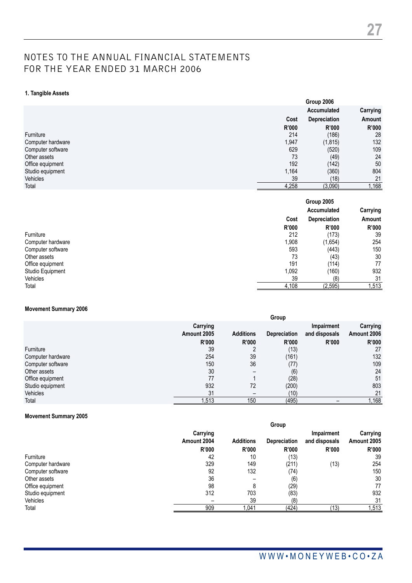## NOTES TO THE ANNUAL FINANCIAL STATEMENTS FOR THE YEAR ENDED 31 MARCH 2006

#### **1. Tangible Assets**

|                   | Group 2006   |                     |          |
|-------------------|--------------|---------------------|----------|
|                   |              | Accumulated         | Carrying |
|                   | Cost         | <b>Depreciation</b> | Amount   |
|                   | <b>R'000</b> | R'000               | R'000    |
| Furniture         | 214          | (186)               | 28       |
| Computer hardware | 1,947        | (1, 815)            | 132      |
| Computer software | 629          | (520)               | 109      |
| Other assets      | 73           | (49)                | 24       |
| Office equipment  | 192          | (142)               | 50       |
| Studio equipment  | 1,164        | (360)               | 804      |
| Vehicles          | 39           | (18)                | 21       |
| Total             | 4,258        | (3,090)             | 1,168    |

|                   |       | Group 2005          |        |  |  |
|-------------------|-------|---------------------|--------|--|--|
|                   |       | Accumulated         |        |  |  |
|                   | Cost  | <b>Depreciation</b> | Amount |  |  |
|                   | R'000 | R'000               | R'000  |  |  |
| Furniture         | 212   | (173)               | 39     |  |  |
| Computer hardware | 1,908 | (1,654)             | 254    |  |  |
| Computer software | 593   | (443)               | 150    |  |  |
| Other assets      | 73    | (43)                | 30     |  |  |
| Office equipment  | 191   | (114)               | 77     |  |  |
| Studio Equipment  | 1,092 | (160)               | 932    |  |  |
| Vehicles          | 39    | (8)                 | 31     |  |  |
| Total             | 4,108 | (2,595)             | 1,513  |  |  |

### **Movement Summary 2006**

|                   |                         |                  | Group               |                             |                         |
|-------------------|-------------------------|------------------|---------------------|-----------------------------|-------------------------|
|                   | Carrying<br>Amount 2005 | <b>Additions</b> | <b>Depreciation</b> | Impairment<br>and disposals | Carrying<br>Amount 2006 |
|                   | R'000                   | <b>R'000</b>     | <b>R'000</b>        | <b>R'000</b>                | <b>R'000</b>            |
| Furniture         | 39                      |                  | (13)                |                             | 27                      |
| Computer hardware | 254                     | 39               | (161)               |                             | 132                     |
| Computer software | 150                     | 36               | (77)                |                             | 109                     |
| Other assets      | 30                      |                  | (6)                 |                             | 24                      |
| Office equipment  | 77                      |                  | (28)                |                             | 51                      |
| Studio equipment  | 932                     | 72               | (200)               |                             | 803                     |
| Vehicles          | 31                      |                  | (10)                |                             | 21                      |
| Total             | .513                    | 150              | (495)               |                             | 1,168                   |

#### **Movement Summary 2005**

|                   | Group                   |                  |                     |                                    |                         |
|-------------------|-------------------------|------------------|---------------------|------------------------------------|-------------------------|
|                   | Carrying<br>Amount 2004 | <b>Additions</b> | <b>Depreciation</b> | <b>Impairment</b><br>and disposals | Carrying<br>Amount 2005 |
|                   | R'000                   | R'000            | <b>R'000</b>        | <b>R'000</b>                       | <b>R'000</b>            |
| Furniture         | 42                      | 10               | (13)                |                                    | 39                      |
| Computer hardware | 329                     | 149              | (211)               | (13)                               | 254                     |
| Computer software | 92                      | 132              | (74)                |                                    | 150                     |
| Other assets      | 36                      |                  | (6)                 |                                    | 30                      |
| Office equipment  | 98                      | 8                | (29)                |                                    | 77                      |
| Studio equipment  | 312                     | 703              | (83)                |                                    | 932                     |
| Vehicles          |                         | 39               | (8)                 |                                    | 31                      |
| Total             | 909                     | 1,041            | (424)               | (13)                               | 1,513                   |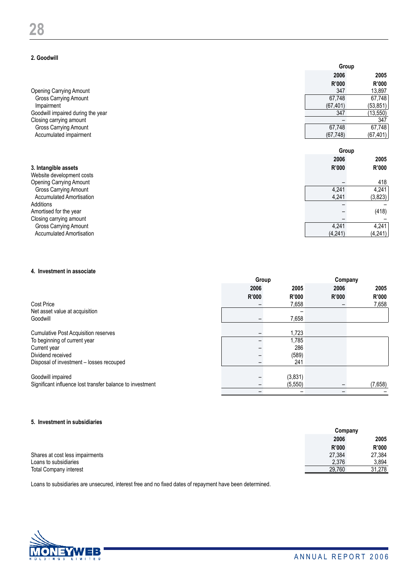#### **2. Goodwill**

|                                   |           | Group     |
|-----------------------------------|-----------|-----------|
|                                   | 2006      | 2005      |
|                                   | R'000     | R'000     |
| <b>Opening Carrying Amount</b>    | 347       | 13,897    |
| Gross Carrying Amount             | 67,748    | 67,748    |
| Impairment                        | (67, 401) | (53, 851) |
| Goodwill impaired during the year | 347       | (13, 550) |
| Closing carrying amount           |           | 347       |
| Gross Carrying Amount             | 67,748    | 67,748    |
| Accumulated impairment            | (67, 748) | (67, 401) |
|                                   |           | Group     |
|                                   | 2006      | 2005      |
| 3. Intangible assets              | R'000     | R'000     |
| Website development costs         |           |           |
| Opening Carrying Amount           |           | 418       |
| Gross Carrying Amount             | 4,241     | 4,241     |
| Accumulated Amortisation          | 4,241     | (3,823)   |
| Additions                         |           |           |
| Amortised for the year            |           | (418)     |
| Closing carrying amount           |           |           |
| Gross Carrying Amount             | 4,241     | 4,241     |
| <b>Accumulated Amortisation</b>   | (4, 241)  | (4, 241)  |

#### **4. Investment in associate**

|                                                           | Group |         | Company |              |
|-----------------------------------------------------------|-------|---------|---------|--------------|
|                                                           | 2006  | 2005    | 2006    | 2005         |
|                                                           | R'000 | R'000   | R'000   | <b>R'000</b> |
| Cost Price                                                |       | 7,658   |         | 7,658        |
| Net asset value at acquisition                            |       |         |         |              |
| Goodwill                                                  |       | 7,658   |         |              |
|                                                           |       |         |         |              |
| <b>Cumulative Post Acquisition reserves</b>               |       | 1,723   |         |              |
| To beginning of current year                              |       | 1,785   |         |              |
| Current year                                              |       | 286     |         |              |
| Dividend received                                         |       | (589)   |         |              |
| Disposal of investment - losses recouped                  |       | 241     |         |              |
|                                                           |       |         |         |              |
| Goodwill impaired                                         |       | (3,831) |         |              |
| Significant influence lost transfer balance to investment |       | (5,550) |         | (7,658)      |
|                                                           |       |         |         |              |

#### **5. Investment in subsidiaries**

|                                 | Company |        |
|---------------------------------|---------|--------|
|                                 | 2006    | 2005   |
|                                 | R'000   | R'000  |
| Shares at cost less impairments | 27,384  | 27,384 |
| Loans to subsidiaries           | 2.376   | 3.894  |
| <b>Total Company interest</b>   | 29,760  | 31,278 |

Loans to subsidiaries are unsecured, interest free and no fixed dates of repayment have been determined.

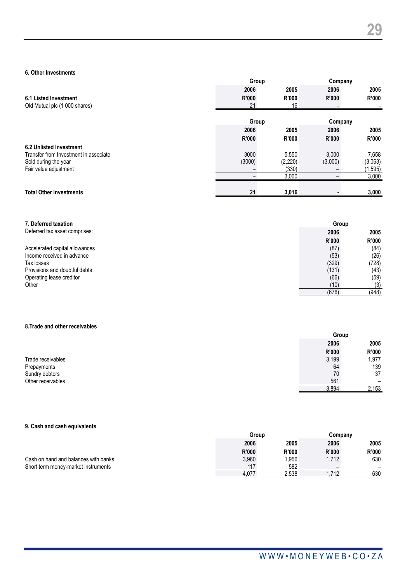#### **6. Other Investments**

|                                       | Group  |         |              | Company  |  |
|---------------------------------------|--------|---------|--------------|----------|--|
|                                       | 2006   | 2005    | 2006         | 2005     |  |
| <b>6.1 Listed Investment</b>          | R'000  | R'000   | R'000        | R'000    |  |
| Old Mutual plc (1 000 shares)         | 21     | 16      |              |          |  |
|                                       |        |         |              |          |  |
|                                       | Group  |         | Company      |          |  |
|                                       | 2006   | 2005    | 2006         | 2005     |  |
|                                       | R'000  | R'000   | <b>R'000</b> | R'000    |  |
| 6.2 Unlisted Investment               |        |         |              |          |  |
| Transfer from Investment in associate | 3000   | 5,550   | 3.000        | 7,658    |  |
| Sold during the year                  | (3000) | (2,220) | (3,000)      | (3,063)  |  |
| Fair value adjustment                 |        | (330)   |              | (1, 595) |  |
|                                       |        | 3,000   |              | 3,000    |  |
|                                       |        |         |              |          |  |
| <b>Total Other Investments</b>        | 21     | 3,016   |              | 3,000    |  |

| 7. Deferred taxation           |       | Group |  |
|--------------------------------|-------|-------|--|
| Deferred tax asset comprises:  | 2006  | 2005  |  |
|                                | R'000 | R'000 |  |
| Accelerated capital allowances | (87)  | (84)  |  |
| Income received in advance     | (53)  | (26)  |  |
| Tax losses                     | (329) | (728) |  |
| Provisions and doubtful debts  | (131) | (43)  |  |
| Operating lease creditor       | (66)  | (59)  |  |
| Other                          | (10)  | (3)   |  |
|                                | (676) | (948) |  |

#### **8.Trade and other receivables**

|                   |       | Group                    |  |
|-------------------|-------|--------------------------|--|
|                   | 2006  | 2005                     |  |
|                   | R'000 | R'000                    |  |
| Trade receivables | 3,199 | 1,977                    |  |
| Prepayments       | 64    | 139                      |  |
| Sundry debtors    | 70    | 37                       |  |
| Other receivables | 561   | $\overline{\phantom{0}}$ |  |
|                   | 3,894 | 2,153                    |  |

#### **9. Cash and cash equivalents**

|                                      |              | Group |       | Company |  |
|--------------------------------------|--------------|-------|-------|---------|--|
|                                      | 2006         | 2005  | 2006  | 2005    |  |
|                                      | <b>R'000</b> | R'000 | R'000 | R'000   |  |
| Cash on hand and balances with banks | 3,960        | 1,956 | 1.712 | 630     |  |
| Short term money-market instruments  | 117          | 582   |       |         |  |
|                                      | 4.077        | 2.538 |       | 630     |  |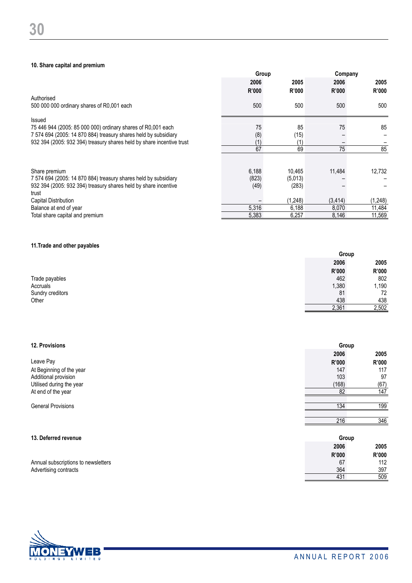### **10. Share capital and premium**

|                                                                          | Group |              | Company  |         |
|--------------------------------------------------------------------------|-------|--------------|----------|---------|
|                                                                          | 2006  | 2005         | 2006     | 2005    |
|                                                                          | R'000 | <b>R'000</b> | R'000    | R'000   |
| Authorised                                                               |       |              |          |         |
| 500 000 000 ordinary shares of R0,001 each                               | 500   | 500          | 500      | 500     |
| Issued                                                                   |       |              |          |         |
| 75 446 944 (2005: 85 000 000) ordinary shares of R0,001 each             | 75    | 85           | 75       | 85      |
| 7 574 694 (2005: 14 870 884) treasury shares held by subsidiary          | (8)   | (15)         |          |         |
| 932 394 (2005: 932 394) treasury shares held by share incentive trust    | (1)   | (1)          |          |         |
|                                                                          | 67    | 69           | 75       | 85      |
|                                                                          |       |              |          |         |
| Share premium                                                            | 6,188 | 10.465       | 11.484   | 12,732  |
| 7 574 694 (2005: 14 870 884) treasury shares held by subsidiary          | (823) | (5,013)      |          |         |
| 932 394 (2005: 932 394) treasury shares held by share incentive<br>trust | (49)  | (283)        |          |         |
| Capital Distribution                                                     |       | (1, 248)     | (3, 414) | (1,248) |
| Balance at end of year                                                   | 5,316 | 6,188        | 8,070    | 11,484  |
| Total share capital and premium                                          | 5,383 | 6,257        | 8,146    | 11,569  |

### **11.Trade and other payables**

|                  |       | Group |  |
|------------------|-------|-------|--|
|                  | 2006  | 2005  |  |
|                  | R'000 | R'000 |  |
| Trade payables   | 462   | 802   |  |
| Accruals         | 1,380 | 1,190 |  |
| Sundry creditors | 81    | 72    |  |
| Other            | 438   | 438   |  |
|                  | 2,361 | 2,502 |  |

| <b>12. Provisions</b>               | Group |              |
|-------------------------------------|-------|--------------|
|                                     | 2006  | 2005         |
| Leave Pay                           | R'000 | <b>R'000</b> |
| At Beginning of the year            | 147   | 117          |
| Additional provision                | 103   | 97           |
| Utilised during the year            | (168) | (67)         |
| At end of the year                  | 82    | 147          |
|                                     |       |              |
| <b>General Provisions</b>           | 134   | 199          |
|                                     |       |              |
|                                     | 216   | 346          |
|                                     |       |              |
| 13. Deferred revenue                | Group |              |
|                                     | 2006  | 2005         |
|                                     | R'000 | <b>R'000</b> |
| Annual subscriptions to newsletters | 67    | 112          |
| Advertising contracts               | 364   | 397          |
|                                     | 431   | 509          |

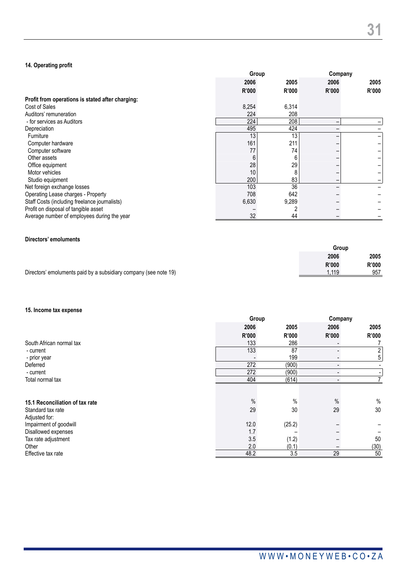### **14. Operating profit**

|                                                  | Group        |              |       | Company |  |
|--------------------------------------------------|--------------|--------------|-------|---------|--|
|                                                  | 2006<br>2005 |              | 2006  | 2005    |  |
|                                                  | R'000        | <b>R'000</b> | R'000 | R'000   |  |
| Profit from operations is stated after charging: |              |              |       |         |  |
| Cost of Sales                                    | 8,254        | 6,314        |       |         |  |
| Auditors' remuneration                           | 224          | 208          |       |         |  |
| - for services as Auditors                       | 224          | 208          |       |         |  |
| Depreciation                                     | 495          | 424          |       |         |  |
| Furniture                                        | 13           | 13           |       |         |  |
| Computer hardware                                | 161          | 211          |       |         |  |
| Computer software                                | 77           | 74           |       |         |  |
| Other assets                                     |              | 6            |       |         |  |
| Office equipment                                 | 28           | 29           |       |         |  |
| Motor vehicles                                   | 10           | 8            |       |         |  |
| Studio equipment                                 | 200          | 83           |       |         |  |
| Net foreign exchange losses                      | 103          | 36           |       |         |  |
| Operating Lease charges - Property               | 708          | 642          |       |         |  |
| Staff Costs (including freelance journalists)    | 6,630        | 9,289        |       |         |  |
| Profit on disposal of tangible asset             |              | 2            |       |         |  |
| Average number of employees during the year      | 32           | 44           |       |         |  |

#### **Directors' emoluments**

|                                                                  | Group |              |
|------------------------------------------------------------------|-------|--------------|
|                                                                  | 2006  | 2005         |
|                                                                  | R'000 | <b>R'000</b> |
| Directors' emoluments paid by a subsidiary company (see note 19) | 110   | 957          |

#### **15. Income tax expense**

|                                 | Group |        |                          | Company        |  |
|---------------------------------|-------|--------|--------------------------|----------------|--|
|                                 | 2006  | 2005   | 2006                     | 2005           |  |
|                                 | R'000 | R'000  | R'000                    | R'000          |  |
| South African normal tax        | 133   | 286    |                          |                |  |
| - current                       | 133   | 87     |                          | $\overline{c}$ |  |
| - prior year                    |       | 199    |                          | 5              |  |
| Deferred                        | 272   | (900)  | $\overline{\phantom{0}}$ |                |  |
| - current                       | 272   | (900)  | -                        |                |  |
| Total normal tax                | 404   | (614)  |                          |                |  |
|                                 |       |        |                          |                |  |
| 15.1 Reconciliation of tax rate | $\%$  | $\%$   | $\%$                     | $\%$           |  |
| Standard tax rate               | 29    | 30     | 29                       | 30             |  |
| Adjusted for:                   |       |        |                          |                |  |
| Impairment of goodwill          | 12.0  | (25.2) |                          |                |  |
| Disallowed expenses             | 1.7   |        |                          |                |  |
| Tax rate adjustment             | 3.5   | (1.2)  |                          | 50             |  |
| Other                           | 2.0   | (0.1)  |                          | (30)           |  |
| Effective tax rate              | 48.2  | 3.5    | 29                       | 50             |  |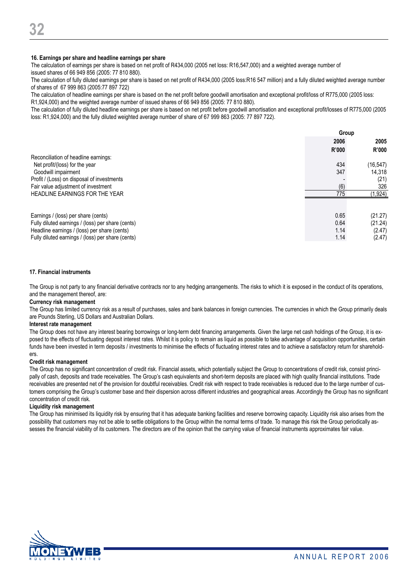#### **16. Earnings per share and headline earnings per share**

The calculation of earnings per share is based on net profit of R434,000 (2005 net loss: R16,547,000) and a weighted average number of issued shares of 66 949 856 (2005: 77 810 880).

The calculation of fully diluted earnings per share is based on net profit of R434,000 (2005 loss:R16 547 million) and a fully diluted weighted average number of shares of 67 999 863 (2005:77 897 722)

The calculation of headline earnings per share is based on the net profit before goodwill amortisation and exceptional profit/loss of R775,000 (2005 loss: R1,924,000) and the weighted average number of issued shares of 66 949 856 (2005: 77 810 880).

The calculation of fully diluted headline earnings per share is based on net profit before goodwill amortisation and exceptional profit/losses of R775,000 (2005 loss: R1,924,000) and the fully diluted weighted average number of share of 67 999 863 (2005: 77 897 722).

|                                                   | Group |           |
|---------------------------------------------------|-------|-----------|
|                                                   | 2006  | 2005      |
|                                                   | R'000 | R'000     |
| Reconciliation of headline earnings:              |       |           |
| Net profit/(loss) for the year                    | 434   | (16, 547) |
| Goodwill impairment                               | 347   | 14,318    |
| Profit / (Loss) on disposal of investments        |       | (21)      |
| Fair value adjustment of investment               | (6)   | 326       |
| HEADLINE EARNINGS FOR THE YEAR                    | 775   | (1, 924)  |
|                                                   |       |           |
| Earnings / (loss) per share (cents)               | 0.65  | (21.27)   |
| Fully diluted earnings / (loss) per share (cents) | 0.64  | (21.24)   |
| Headline earnings / (loss) per share (cents)      | 1.14  | (2.47)    |
| Fully diluted earnings / (loss) per share (cents) | 1.14  | (2.47)    |
|                                                   |       |           |

#### **17. Financial instruments**

The Group is not party to any financial derivative contracts nor to any hedging arrangements. The risks to which it is exposed in the conduct of its operations, and the management thereof, are:

#### **Currency risk management**

The Group has limited currency risk as a result of purchases, sales and bank balances in foreign currencies. The currencies in which the Group primarily deals are Pounds Sterling, US Dollars and Australian Dollars.

#### **Interest rate management**

The Group does not have any interest bearing borrowings or long-term debt financing arrangements. Given the large net cash holdings of the Group, it is exposed to the effects of fluctuating deposit interest rates. Whilst it is policy to remain as liquid as possible to take advantage of acquisition opportunities, certain funds have been invested in term deposits / investments to minimise the effects of fluctuating interest rates and to achieve a satisfactory return for shareholders.

#### **Credit risk management**

The Group has no significant concentration of credit risk. Financial assets, which potentially subject the Group to concentrations of credit risk, consist principally of cash, deposits and trade receivables. The Group's cash equivalents and short-term deposits are placed with high quality financial institutions. Trade receivables are presented net of the provision for doubtful receivables. Credit risk with respect to trade receivables is reduced due to the large number of customers comprising the Group's customer base and their dispersion across different industries and geographical areas. Accordingly the Group has no significant concentration of credit risk.

#### **Liquidity risk management**

The Group has minimised its liquidity risk by ensuring that it has adequate banking facilities and reserve borrowing capacity. Liquidity risk also arises from the possibility that customers may not be able to settle obligations to the Group within the normal terms of trade. To manage this risk the Group periodically assesses the financial viability of its customers. The directors are of the opinion that the carrying value of financial instruments approximates fair value.

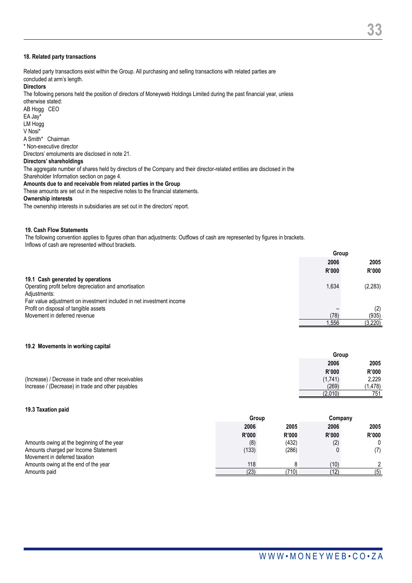#### **18. Related party transactions**

Related party transactions exist within the Group. All purchasing and selling transactions with related parties are concluded at arm's length.

#### **Directors**

The following persons held the position of directors of Moneyweb Holdings Limited during the past financial year, unless otherwise stated:

AB Hogg CEO EA Jay\* LM Hogg V Nosi\* A Smith\* Chairman \* Non-executive director Directors' emoluments are disclosed in note 21. **Directors' shareholdings** The aggregate number of shares held by directors of the Company and their director-related entities are disclosed in the Shareholder Information section on page 4. **Amounts due to and receivable from related parties in the Group** These amounts are set out in the respective notes to the financial statements. **Ownership interests** The ownership interests in subsidiaries are set out in the directors' report.

#### **19. Cash Flow Statements**

The following convention applies to figures othan than adjustments: Outflows of cash are represented by figures in brackets. Inflows of cash are represented without brackets.

|                                                                       | Group         |               |
|-----------------------------------------------------------------------|---------------|---------------|
|                                                                       | 2006<br>R'000 | 2005<br>R'000 |
| 19.1 Cash generated by operations                                     |               |               |
| Operating profit before depreciation and amortisation                 | 1.634         | (2, 283)      |
| Adjustments:                                                          |               |               |
| Fair value adjustment on investment included in net investment income |               |               |
| Profit on disposal of tangible assets                                 |               | (2)           |
| Movement in deferred revenue                                          | (78)          | (935)         |
|                                                                       | .556          | (3,220)       |

#### **19.2 Movements in working capital**

|                                                      | Group   |       |
|------------------------------------------------------|---------|-------|
|                                                      | 2006    | 2005  |
|                                                      | R'000   | R'000 |
| (Increase) / Decrease in trade and other receivables | (1.741) | 2.229 |
| Increase / (Decrease) in trade and other payables    | (269)   | 1.478 |
|                                                      | (2,010) | 751   |

#### **19.3 Taxation paid**

|                                            |              | Group |       | Company |  |
|--------------------------------------------|--------------|-------|-------|---------|--|
|                                            | 2006         | 2005  |       | 2005    |  |
|                                            | <b>R'000</b> | R'000 | R'000 | R'000   |  |
| Amounts owing at the beginning of the year | (8)          | (432) | (2)   |         |  |
| Amounts charged per Income Statement       | (133)        | (286) |       | (7)     |  |
| Movement in deferred taxation              |              |       |       |         |  |
| Amounts owing at the end of the year       | 118          |       | (10)  | ŋ       |  |
| Amounts paid                               | (23)         | (710) | (12)  | (5)     |  |
|                                            |              |       |       |         |  |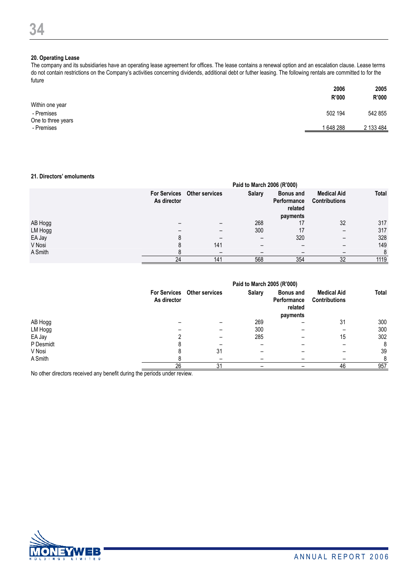#### **20. Operating Lease**

The company and its subsidiaries have an operating lease agreement for offices. The lease contains a renewal option and an escalation clause. Lease terms do not contain restrictions on the Company's activities concerning dividends, additional debt or futher leasing. The following rentals are committed to for the future

|                    | 2006<br><b>R'000</b> | 2005<br>R'000 |
|--------------------|----------------------|---------------|
| Within one year    |                      |               |
| - Premises         | 502 194              | 542 855       |
| One to three years |                      |               |
| - Premises         | 1648288              | 2 133 484     |

#### **21. Directors' emoluments**

|         | Paid to March 2006 (R'000)         |                       |                          |                                                 |                                            |       |
|---------|------------------------------------|-----------------------|--------------------------|-------------------------------------------------|--------------------------------------------|-------|
|         | <b>For Services</b><br>As director | <b>Other services</b> | Salary                   | Bonus and<br>Performance<br>related<br>payments | <b>Medical Aid</b><br><b>Contributions</b> | Total |
| AB Hogg |                                    |                       | 268                      |                                                 | 32                                         | 317   |
| LM Hogg |                                    |                       | 300                      | 17                                              | -                                          | 317   |
| EA Jay  |                                    |                       | $\overline{\phantom{m}}$ | 320                                             |                                            | 328   |
| V Nosi  |                                    | 141                   | $\overline{\phantom{0}}$ |                                                 | -                                          | 149   |
| A Smith |                                    |                       |                          |                                                 |                                            | 8     |
|         | 24                                 | 141                   | 568                      | 354                                             | 32                                         | 1119  |

|           |                                    | Paid to March 2005 (R'000) |               |                                                        |                                            |              |  |
|-----------|------------------------------------|----------------------------|---------------|--------------------------------------------------------|--------------------------------------------|--------------|--|
|           | <b>For Services</b><br>As director | <b>Other services</b>      | <b>Salary</b> | <b>Bonus and</b><br>Performance<br>related<br>payments | <b>Medical Aid</b><br><b>Contributions</b> | <b>Total</b> |  |
| AB Hogg   |                                    |                            | 269           |                                                        | 31                                         | 300          |  |
| LM Hogg   |                                    |                            | 300           |                                                        |                                            | 300          |  |
| EA Jay    |                                    |                            | 285           |                                                        | 15                                         | 302          |  |
| P Desmidt |                                    |                            |               |                                                        |                                            | 8            |  |
| V Nosi    |                                    | 31                         |               |                                                        |                                            | 39           |  |
| A Smith   |                                    |                            |               |                                                        |                                            | 8            |  |
|           | 26                                 | 31                         |               |                                                        | 46                                         | 957          |  |

No other directors received any benefit during the periods under review.

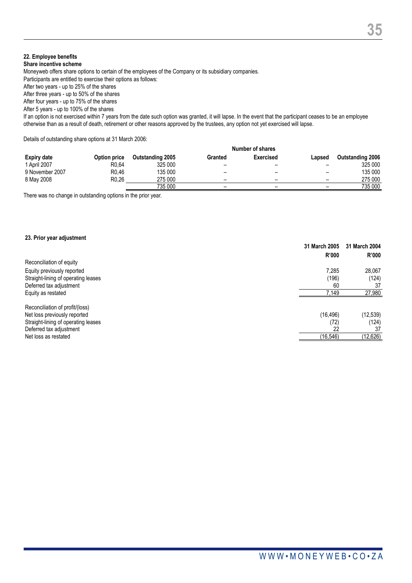#### **22. Employee benefits**

**Share incentive scheme** Moneyweb offers share options to certain of the employees of the Company or its subsidiary companies. Participants are entitled to exercise their options as follows: After two years - up to 25% of the shares After three years - up to 50% of the shares After four years - up to 75% of the shares After 5 years - up to 100% of the shares If an option is not exercised within 7 years from the date such option was granted, it will lapse. In the event that the participant ceases to be an employee otherwise than as a result of death, retirement or other reasons approved by the trustees, any option not yet exercised will lapse.

Details of outstanding share options at 31 March 2006:

| <b>Expiry date</b> | <b>Option price</b> | Outstanding 2005 | Granted                  | <b>Exercised</b>         | Lapsed                   | Outstanding 2006 |
|--------------------|---------------------|------------------|--------------------------|--------------------------|--------------------------|------------------|
| 1 April 2007       | R <sub>0.64</sub>   | 325 000          |                          |                          | -                        | 325 000          |
| 9 November 2007    | R <sub>0.46</sub>   | 135 000          |                          |                          | -                        | 135 000          |
| 8 May 2008         | R <sub>0.26</sub>   | 275 000          | $\overline{\phantom{0}}$ | $\overline{\phantom{0}}$ | $\overline{\phantom{0}}$ | 275 000          |
|                    |                     | 735 000          | -                        |                          | -                        | 735 000          |

There was no change in outstanding options in the prior year.

| 23. Prior year adjustment           |               |               |
|-------------------------------------|---------------|---------------|
|                                     | 31 March 2005 | 31 March 2004 |
|                                     | R'000         | R'000         |
| Reconciliation of equity            |               |               |
| Equity previously reported          | 7,285         | 28.067        |
| Straight-lining of operating leases | (196)         | (124)         |
| Deferred tax adjustment             | 60            | 37            |
| Equity as restated                  | 7.149         | 27,980        |
| Reconciliation of profit/(loss)     |               |               |
| Net loss previously reported        | (16, 496)     | (12, 539)     |
| Straight-lining of operating leases | (72)          | (124)         |
| Deferred tax adjustment             | 22            | 37            |
| Net loss as restated                | (16, 546)     | (12, 626)     |
|                                     |               |               |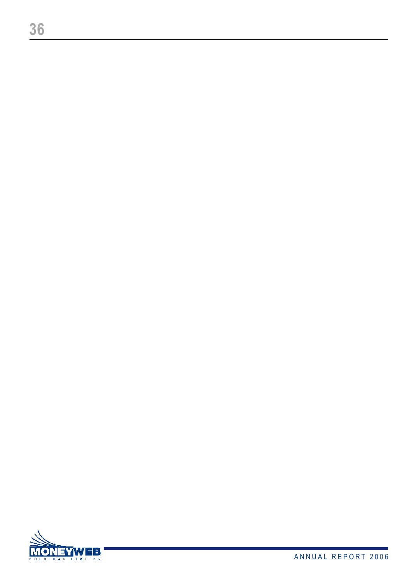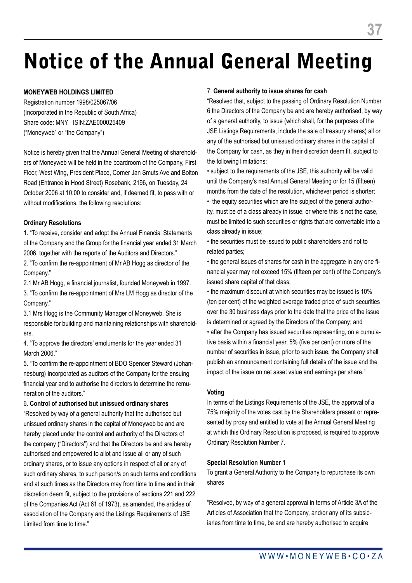# Notice of the Annual General Meeting

#### **MONEYWEB HOLDINGS LIMITED**

Registration number 1998/025067/06 (Incorporated in the Republic of South Africa) Share code: MNY ISIN:ZAE000025409 ("Moneyweb" or "the Company")

Notice is hereby given that the Annual General Meeting of shareholders of Moneyweb will be held in the boardroom of the Company, First Floor, West Wing, President Place, Corner Jan Smuts Ave and Bolton Road (Entrance in Hood Street) Rosebank, 2196, on Tuesday, 24 October 2006 at 10:00 to consider and, if deemed fit, to pass with or without modifications, the following resolutions:

#### **Ordinary Resolutions**

1. "To receive, consider and adopt the Annual Financial Statements of the Company and the Group for the financial year ended 31 March 2006, together with the reports of the Auditors and Directors."

2. "To confirm the re-appointment of Mr AB Hogg as director of the Company."

2.1 Mr AB Hogg, a financial journalist, founded Moneyweb in 1997. 3. "To confirm the re-appointment of Mrs LM Hogg as director of the Company."

3.1 Mrs Hogg is the Community Manager of Moneyweb. She is responsible for building and maintaining relationships with shareholders.

4. "To approve the directors' emoluments for the year ended 31 March 2006."

5. "To confirm the re-appointment of BDO Spencer Steward (Johannesburg) Incorporated as auditors of the Company for the ensuing financial year and to authorise the directors to determine the remuneration of the auditors."

#### 6. **Control of authorised but unissued ordinary shares**

"Resolved by way of a general authority that the authorised but unissued ordinary shares in the capital of Moneyweb be and are hereby placed under the control and authority of the Directors of the company ("Directors") and that the Directors be and are hereby authorised and empowered to allot and issue all or any of such ordinary shares, or to issue any options in respect of all or any of such ordinary shares, to such person/s on such terms and conditions and at such times as the Directors may from time to time and in their discretion deem fit, subject to the provisions of sections 221 and 222 of the Companies Act (Act 61 of 1973), as amended, the articles of association of the Company and the Listings Requirements of JSE Limited from time to time."

#### 7. **General authority to issue shares for cash**

"Resolved that, subject to the passing of Ordinary Resolution Number 6 the Directors of the Company be and are hereby authorised, by way of a general authority, to issue (which shall, for the purposes of the JSE Listings Requirements, include the sale of treasury shares) all or any of the authorised but unissued ordinary shares in the capital of the Company for cash, as they in their discretion deem fit, subject to the following limitations:

• subject to the requirements of the JSE, this authority will be valid until the Company's next Annual General Meeting or for 15 (fifteen) months from the date of the resolution, whichever period is shorter;

- the equity securities which are the subject of the general authority, must be of a class already in issue, or where this is not the case, must be limited to such securities or rights that are convertable into a class already in issue;
- the securities must be issued to public shareholders and not to related parties;

• the general issues of shares for cash in the aggregate in any one financial year may not exceed 15% (fifteen per cent) of the Company's issued share capital of that class;

• the maximum discount at which securities may be issued is 10% (ten per cent) of the weighted average traded price of such securities over the 30 business days prior to the date that the price of the issue is determined or agreed by the Directors of the Company; and • after the Company has issued securities representing, on a cumulative basis within a financial year, 5% (five per cent) or more of the number of securities in issue, prior to such issue, the Company shall publish an announcement containing full details of the issue and the impact of the issue on net asset value and earnings per share."

#### **Voting**

In terms of the Listings Requirements of the JSE, the approval of a 75% majority of the votes cast by the Shareholders present or represented by proxy and entitled to vote at the Annual General Meeting at which this Ordinary Resolution is proposed, is required to approve Ordinary Resolution Number 7.

#### **Special Resolution Number 1**

To grant a General Authority to the Company to repurchase its own shares

"Resolved, by way of a general approval in terms of Article 3A of the Articles of Association that the Company, and/or any of its subsidiaries from time to time, be and are hereby authorised to acquire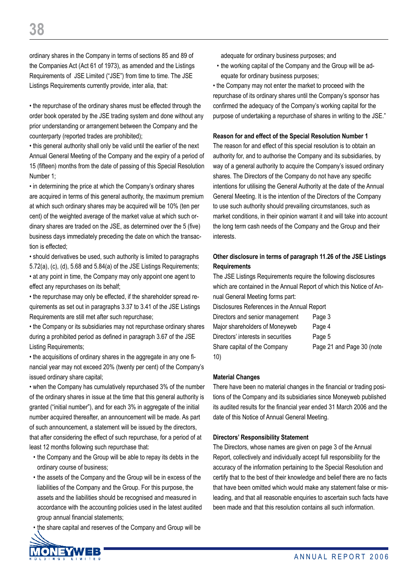ordinary shares in the Company in terms of sections 85 and 89 of the Companies Act (Act 61 of 1973), as amended and the Listings Requirements of JSE Limited ("JSE") from time to time. The JSE Listings Requirements currently provide, inter alia, that:

• the repurchase of the ordinary shares must be effected through the order book operated by the JSE trading system and done without any prior understanding or arrangement between the Company and the counterparty (reported trades are prohibited);

• this general authority shall only be valid until the earlier of the next Annual General Meeting of the Company and the expiry of a period of 15 (fifteen) months from the date of passing of this Special Resolution Number 1;

• in determining the price at which the Company's ordinary shares are acquired in terms of this general authority, the maximum premium at which such ordinary shares may be acquired will be 10% (ten per cent) of the weighted average of the market value at which such ordinary shares are traded on the JSE, as determined over the 5 (five) business days immediately preceding the date on which the transaction is effected;

• should derivatives be used, such authority is limited to paragraphs 5.72(a), (c), (d), 5.68 and 5.84(a) of the JSE Listings Requirements; • at any point in time, the Company may only appoint one agent to effect any repurchases on its behalf;

• the repurchase may only be effected, if the shareholder spread requirements as set out in paragraphs 3.37 to 3.41 of the JSE Listings Requirements are still met after such repurchase;

• the Company or its subsidiaries may not repurchase ordinary shares during a prohibited period as defined in paragraph 3.67 of the JSE Listing Requirements;

• the acquisitions of ordinary shares in the aggregate in any one financial year may not exceed 20% (twenty per cent) of the Company's issued ordinary share capital;

• when the Company has cumulatively repurchased 3% of the number of the ordinary shares in issue at the time that this general authority is granted ("initial number"), and for each 3% in aggregate of the initial number acquired thereafter, an announcement will be made. As part of such announcement, a statement will be issued by the directors, that after considering the effect of such repurchase, for a period of at least 12 months following such repurchase that:

- the Company and the Group will be able to repay its debts in the ordinary course of business;
- the assets of the Company and the Group will be in excess of the liabilities of the Company and the Group. For this purpose, the assets and the liabilities should be recognised and measured in accordance with the accounting policies used in the latest audited group annual financial statements;

• the share capital and reserves of the Company and Group will be



adequate for ordinary business purposes; and

• the working capital of the Company and the Group will be adequate for ordinary business purposes;

• the Company may not enter the market to proceed with the repurchase of its ordinary shares until the Company's sponsor has confirmed the adequacy of the Company's working capital for the purpose of undertaking a repurchase of shares in writing to the JSE."

#### **Reason for and effect of the Special Resolution Number 1**

The reason for and effect of this special resolution is to obtain an authority for, and to authorise the Company and its subsidiaries, by way of a general authority to acquire the Company's issued ordinary shares. The Directors of the Company do not have any specific intentions for utilising the General Authority at the date of the Annual General Meeting. It is the intention of the Directors of the Company to use such authority should prevailing circumstances, such as market conditions, in their opinion warrant it and will take into account the long term cash needs of the Company and the Group and their interests.

### **Other disclosure in terms of paragraph 11.26 of the JSE Listings Requirements**

The JSE Listings Requirements require the following disclosures which are contained in the Annual Report of which this Notice of Annual General Meeting forms part:

Disclosures References in the Annual Report

| Directors and senior management    | Page 3                    |
|------------------------------------|---------------------------|
| Major shareholders of Moneyweb     | Page 4                    |
| Directors' interests in securities | Page 5                    |
| Share capital of the Company       | Page 21 and Page 30 (note |
| 10)                                |                           |

#### **Material Changes**

There have been no material changes in the financial or trading positions of the Company and its subsidiaries since Moneyweb published its audited results for the financial year ended 31 March 2006 and the date of this Notice of Annual General Meeting.

#### **Directors' Responsibility Statement**

The Directors, whose names are given on page 3 of the Annual Report, collectively and individually accept full responsibility for the accuracy of the information pertaining to the Special Resolution and certify that to the best of their knowledge and belief there are no facts that have been omitted which would make any statement false or misleading, and that all reasonable enquiries to ascertain such facts have been made and that this resolution contains all such information.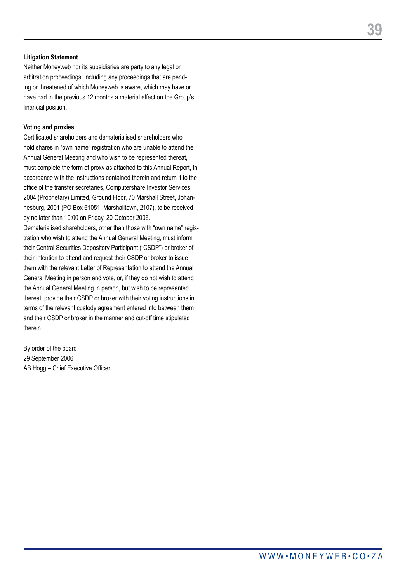#### **Litigation Statement**

Neither Moneyweb nor its subsidiaries are party to any legal or arbitration proceedings, including any proceedings that are pending or threatened of which Moneyweb is aware, which may have or have had in the previous 12 months a material effect on the Group's financial position.

#### **Voting and proxies**

Certificated shareholders and dematerialised shareholders who hold shares in "own name" registration who are unable to attend the Annual General Meeting and who wish to be represented thereat, must complete the form of proxy as attached to this Annual Report, in accordance with the instructions contained therein and return it to the office of the transfer secretaries, Computershare Investor Services 2004 (Proprietary) Limited, Ground Floor, 70 Marshall Street, Johannesburg, 2001 (PO Box 61051, Marshalltown, 2107), to be received by no later than 10:00 on Friday, 20 October 2006.

Dematerialised shareholders, other than those with "own name" registration who wish to attend the Annual General Meeting, must inform their Central Securities Depository Participant ("CSDP") or broker of their intention to attend and request their CSDP or broker to issue them with the relevant Letter of Representation to attend the Annual General Meeting in person and vote, or, if they do not wish to attend the Annual General Meeting in person, but wish to be represented thereat, provide their CSDP or broker with their voting instructions in terms of the relevant custody agreement entered into between them and their CSDP or broker in the manner and cut-off time stipulated therein.

By order of the board 29 September 2006 AB Hogg – Chief Executive Officer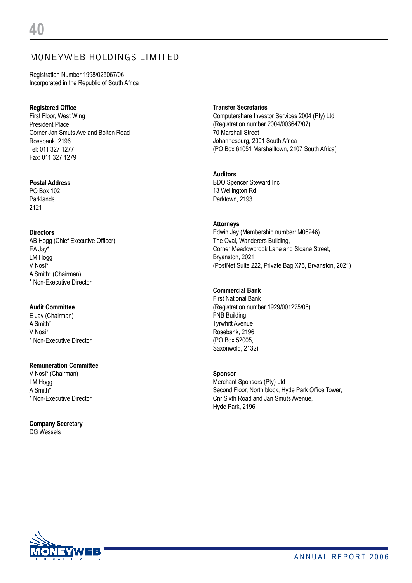### MONEYWEB HOLDINGS LIMITED

Registration Number 1998/025067/06 Incorporated in the Republic of South Africa

#### **Registered Office**

First Floor, West Wing President Place Corner Jan Smuts Ave and Bolton Road Rosebank, 2196 Tel: 011 327 1277 Fax: 011 327 1279

#### **Postal Address**

PO Box 102 Parklands 2121

#### **Directors**

AB Hogg (Chief Executive Officer) EA Jay\* LM Hogg V Nosi\* A Smith\* (Chairman) \* Non-Executive Director

#### **Audit Committee**

E Jay (Chairman) A Smith\* V Nosi\* \* Non-Executive Director

#### **Remuneration Committee**

V Nosi\* (Chairman) LM Hogg A Smith\* \* Non-Executive Director

**Company Secretary** DG Wessels

#### **Transfer Secretaries**

Computershare Investor Services 2004 (Pty) Ltd (Registration number 2004/003647/07) 70 Marshall Street Johannesburg, 2001 South Africa (PO Box 61051 Marshalltown, 2107 South Africa)

#### **Auditors**

BDO Spencer Steward Inc 13 Wellington Rd Parktown, 2193

#### **Attorneys**

Edwin Jay (Membership number: M06246) The Oval, Wanderers Building, Corner Meadowbrook Lane and Sloane Street, Bryanston, 2021 (PostNet Suite 222, Private Bag X75, Bryanston, 2021)

#### **Commercial Bank**

First National Bank (Registration number 1929/001225/06) FNB Building Tyrwhitt Avenue Rosebank, 2196 (PO Box 52005, Saxonwold, 2132)

#### **Sponsor**

Merchant Sponsors (Pty) Ltd Second Floor, North block, Hyde Park Office Tower, Cnr Sixth Road and Jan Smuts Avenue, Hyde Park, 2196